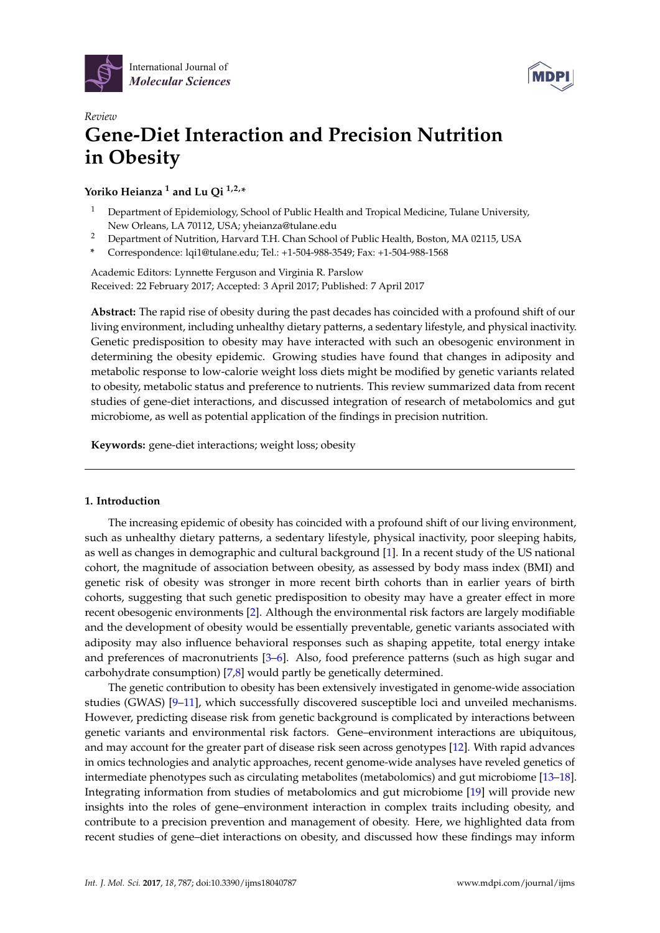



# *Review* **Gene-Diet Interaction and Precision Nutrition in Obesity**

**Yoriko Heianza <sup>1</sup> and Lu Qi 1,2,\***

- <sup>1</sup> Department of Epidemiology, School of Public Health and Tropical Medicine, Tulane University, New Orleans, LA 70112, USA; yheianza@tulane.edu
- <sup>2</sup> Department of Nutrition, Harvard T.H. Chan School of Public Health, Boston, MA 02115, USA
- **\*** Correspondence: lqi1@tulane.edu; Tel.: +1-504-988-3549; Fax: +1-504-988-1568

Academic Editors: Lynnette Ferguson and Virginia R. Parslow Received: 22 February 2017; Accepted: 3 April 2017; Published: 7 April 2017

**Abstract:** The rapid rise of obesity during the past decades has coincided with a profound shift of our living environment, including unhealthy dietary patterns, a sedentary lifestyle, and physical inactivity. Genetic predisposition to obesity may have interacted with such an obesogenic environment in determining the obesity epidemic. Growing studies have found that changes in adiposity and metabolic response to low-calorie weight loss diets might be modified by genetic variants related to obesity, metabolic status and preference to nutrients. This review summarized data from recent studies of gene-diet interactions, and discussed integration of research of metabolomics and gut microbiome, as well as potential application of the findings in precision nutrition.

**Keywords:** gene-diet interactions; weight loss; obesity

# **1. Introduction**

The increasing epidemic of obesity has coincided with a profound shift of our living environment, such as unhealthy dietary patterns, a sedentary lifestyle, physical inactivity, poor sleeping habits, as well as changes in demographic and cultural background [\[1\]](#page-6-0). In a recent study of the US national cohort, the magnitude of association between obesity, as assessed by body mass index (BMI) and genetic risk of obesity was stronger in more recent birth cohorts than in earlier years of birth cohorts, suggesting that such genetic predisposition to obesity may have a greater effect in more recent obesogenic environments [\[2\]](#page-6-1). Although the environmental risk factors are largely modifiable and the development of obesity would be essentially preventable, genetic variants associated with adiposity may also influence behavioral responses such as shaping appetite, total energy intake and preferences of macronutrients [\[3–](#page-6-2)[6\]](#page-7-0). Also, food preference patterns (such as high sugar and carbohydrate consumption) [\[7](#page-7-1)[,8\]](#page-7-2) would partly be genetically determined.

The genetic contribution to obesity has been extensively investigated in genome-wide association studies (GWAS) [\[9–](#page-7-3)[11\]](#page-7-4), which successfully discovered susceptible loci and unveiled mechanisms. However, predicting disease risk from genetic background is complicated by interactions between genetic variants and environmental risk factors. Gene–environment interactions are ubiquitous, and may account for the greater part of disease risk seen across genotypes [\[12\]](#page-7-5). With rapid advances in omics technologies and analytic approaches, recent genome-wide analyses have reveled genetics of intermediate phenotypes such as circulating metabolites (metabolomics) and gut microbiome [\[13–](#page-7-6)[18\]](#page-7-7). Integrating information from studies of metabolomics and gut microbiome [\[19\]](#page-7-8) will provide new insights into the roles of gene–environment interaction in complex traits including obesity, and contribute to a precision prevention and management of obesity. Here, we highlighted data from recent studies of gene–diet interactions on obesity, and discussed how these findings may inform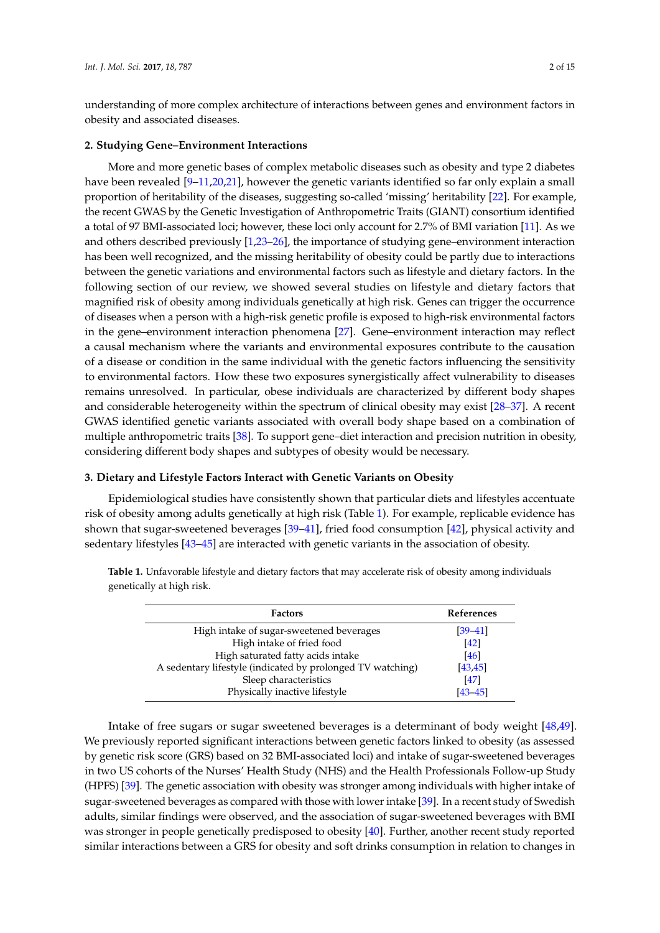understanding of more complex architecture of interactions between genes and environment factors in obesity and associated diseases.

### **2. Studying Gene–Environment Interactions**

More and more genetic bases of complex metabolic diseases such as obesity and type 2 diabetes have been revealed [\[9–](#page-7-3)[11,](#page-7-4)[20](#page-7-9)[,21\]](#page-8-0), however the genetic variants identified so far only explain a small proportion of heritability of the diseases, suggesting so-called 'missing' heritability [\[22\]](#page-8-1). For example, the recent GWAS by the Genetic Investigation of Anthropometric Traits (GIANT) consortium identified a total of 97 BMI-associated loci; however, these loci only account for 2.7% of BMI variation [\[11\]](#page-7-4). As we and others described previously [\[1,](#page-6-0)[23](#page-8-2)[–26\]](#page-8-3), the importance of studying gene–environment interaction has been well recognized, and the missing heritability of obesity could be partly due to interactions between the genetic variations and environmental factors such as lifestyle and dietary factors. In the following section of our review, we showed several studies on lifestyle and dietary factors that magnified risk of obesity among individuals genetically at high risk. Genes can trigger the occurrence of diseases when a person with a high-risk genetic profile is exposed to high-risk environmental factors in the gene–environment interaction phenomena [\[27\]](#page-8-4). Gene–environment interaction may reflect a causal mechanism where the variants and environmental exposures contribute to the causation of a disease or condition in the same individual with the genetic factors influencing the sensitivity to environmental factors. How these two exposures synergistically affect vulnerability to diseases remains unresolved. In particular, obese individuals are characterized by different body shapes and considerable heterogeneity within the spectrum of clinical obesity may exist [\[28–](#page-8-5)[37\]](#page-8-6). A recent GWAS identified genetic variants associated with overall body shape based on a combination of multiple anthropometric traits [\[38\]](#page-8-7). To support gene–diet interaction and precision nutrition in obesity, considering different body shapes and subtypes of obesity would be necessary.

#### **3. Dietary and Lifestyle Factors Interact with Genetic Variants on Obesity**

Epidemiological studies have consistently shown that particular diets and lifestyles accentuate risk of obesity among adults genetically at high risk (Table [1\)](#page-1-0). For example, replicable evidence has shown that sugar-sweetened beverages [\[39–](#page-8-8)[41\]](#page-9-0), fried food consumption [\[42\]](#page-9-1), physical activity and sedentary lifestyles [\[43–](#page-9-2)[45\]](#page-9-3) are interacted with genetic variants in the association of obesity.

| <b>Factors</b>                                             | <b>References</b> |
|------------------------------------------------------------|-------------------|
| High intake of sugar-sweetened beverages                   | $[39 - 41]$       |
| High intake of fried food                                  | [42]              |
| High saturated fatty acids intake                          | [46]              |
| A sedentary lifestyle (indicated by prolonged TV watching) | [43, 45]          |
| Sleep characteristics                                      | [47]              |
| Physically inactive lifestyle                              | $[43 - 45]$       |

<span id="page-1-0"></span>**Table 1.** Unfavorable lifestyle and dietary factors that may accelerate risk of obesity among individuals genetically at high risk.

Intake of free sugars or sugar sweetened beverages is a determinant of body weight [\[48,](#page-9-6)[49\]](#page-9-7). We previously reported significant interactions between genetic factors linked to obesity (as assessed by genetic risk score (GRS) based on 32 BMI-associated loci) and intake of sugar-sweetened beverages in two US cohorts of the Nurses' Health Study (NHS) and the Health Professionals Follow-up Study (HPFS) [\[39\]](#page-8-8). The genetic association with obesity was stronger among individuals with higher intake of sugar-sweetened beverages as compared with those with lower intake [\[39\]](#page-8-8). In a recent study of Swedish adults, similar findings were observed, and the association of sugar-sweetened beverages with BMI was stronger in people genetically predisposed to obesity [\[40\]](#page-9-8). Further, another recent study reported similar interactions between a GRS for obesity and soft drinks consumption in relation to changes in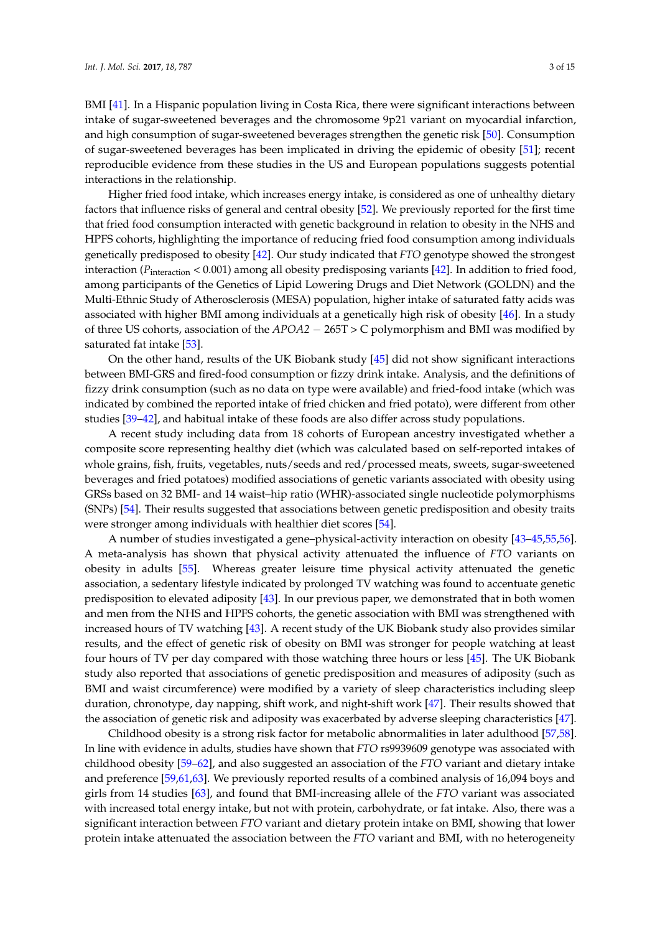BMI [\[41\]](#page-9-0). In a Hispanic population living in Costa Rica, there were significant interactions between intake of sugar-sweetened beverages and the chromosome 9p21 variant on myocardial infarction, and high consumption of sugar-sweetened beverages strengthen the genetic risk [\[50\]](#page-9-9). Consumption of sugar-sweetened beverages has been implicated in driving the epidemic of obesity [\[51\]](#page-9-10); recent reproducible evidence from these studies in the US and European populations suggests potential interactions in the relationship.

Higher fried food intake, which increases energy intake, is considered as one of unhealthy dietary factors that influence risks of general and central obesity [\[52\]](#page-9-11). We previously reported for the first time that fried food consumption interacted with genetic background in relation to obesity in the NHS and HPFS cohorts, highlighting the importance of reducing fried food consumption among individuals genetically predisposed to obesity [\[42\]](#page-9-1). Our study indicated that *FTO* genotype showed the strongest interaction ( $P_{\text{interaction}}$  < 0.001) among all obesity predisposing variants [\[42\]](#page-9-1). In addition to fried food, among participants of the Genetics of Lipid Lowering Drugs and Diet Network (GOLDN) and the Multi-Ethnic Study of Atherosclerosis (MESA) population, higher intake of saturated fatty acids was associated with higher BMI among individuals at a genetically high risk of obesity [\[46\]](#page-9-4). In a study of three US cohorts, association of the *APOA2* − 265T > C polymorphism and BMI was modified by saturated fat intake [\[53\]](#page-9-12).

On the other hand, results of the UK Biobank study [\[45\]](#page-9-3) did not show significant interactions between BMI-GRS and fired-food consumption or fizzy drink intake. Analysis, and the definitions of fizzy drink consumption (such as no data on type were available) and fried-food intake (which was indicated by combined the reported intake of fried chicken and fried potato), were different from other studies [\[39–](#page-8-8)[42\]](#page-9-1), and habitual intake of these foods are also differ across study populations.

A recent study including data from 18 cohorts of European ancestry investigated whether a composite score representing healthy diet (which was calculated based on self-reported intakes of whole grains, fish, fruits, vegetables, nuts/seeds and red/processed meats, sweets, sugar-sweetened beverages and fried potatoes) modified associations of genetic variants associated with obesity using GRSs based on 32 BMI- and 14 waist–hip ratio (WHR)-associated single nucleotide polymorphisms (SNPs) [\[54\]](#page-9-13). Their results suggested that associations between genetic predisposition and obesity traits were stronger among individuals with healthier diet scores [\[54\]](#page-9-13).

A number of studies investigated a gene–physical-activity interaction on obesity [\[43–](#page-9-2)[45,](#page-9-3)[55,](#page-9-14)[56\]](#page-9-15). A meta-analysis has shown that physical activity attenuated the influence of *FTO* variants on obesity in adults [\[55\]](#page-9-14). Whereas greater leisure time physical activity attenuated the genetic association, a sedentary lifestyle indicated by prolonged TV watching was found to accentuate genetic predisposition to elevated adiposity [\[43\]](#page-9-2). In our previous paper, we demonstrated that in both women and men from the NHS and HPFS cohorts, the genetic association with BMI was strengthened with increased hours of TV watching [\[43\]](#page-9-2). A recent study of the UK Biobank study also provides similar results, and the effect of genetic risk of obesity on BMI was stronger for people watching at least four hours of TV per day compared with those watching three hours or less [\[45\]](#page-9-3). The UK Biobank study also reported that associations of genetic predisposition and measures of adiposity (such as BMI and waist circumference) were modified by a variety of sleep characteristics including sleep duration, chronotype, day napping, shift work, and night-shift work [\[47\]](#page-9-5). Their results showed that the association of genetic risk and adiposity was exacerbated by adverse sleeping characteristics [\[47\]](#page-9-5).

Childhood obesity is a strong risk factor for metabolic abnormalities in later adulthood [\[57,](#page-10-0)[58\]](#page-10-1). In line with evidence in adults, studies have shown that *FTO* rs9939609 genotype was associated with childhood obesity [\[59](#page-10-2)[–62\]](#page-10-3), and also suggested an association of the *FTO* variant and dietary intake and preference [\[59,](#page-10-2)[61,](#page-10-4)[63\]](#page-10-5). We previously reported results of a combined analysis of 16,094 boys and girls from 14 studies [\[63\]](#page-10-5), and found that BMI-increasing allele of the *FTO* variant was associated with increased total energy intake, but not with protein, carbohydrate, or fat intake. Also, there was a significant interaction between *FTO* variant and dietary protein intake on BMI, showing that lower protein intake attenuated the association between the *FTO* variant and BMI, with no heterogeneity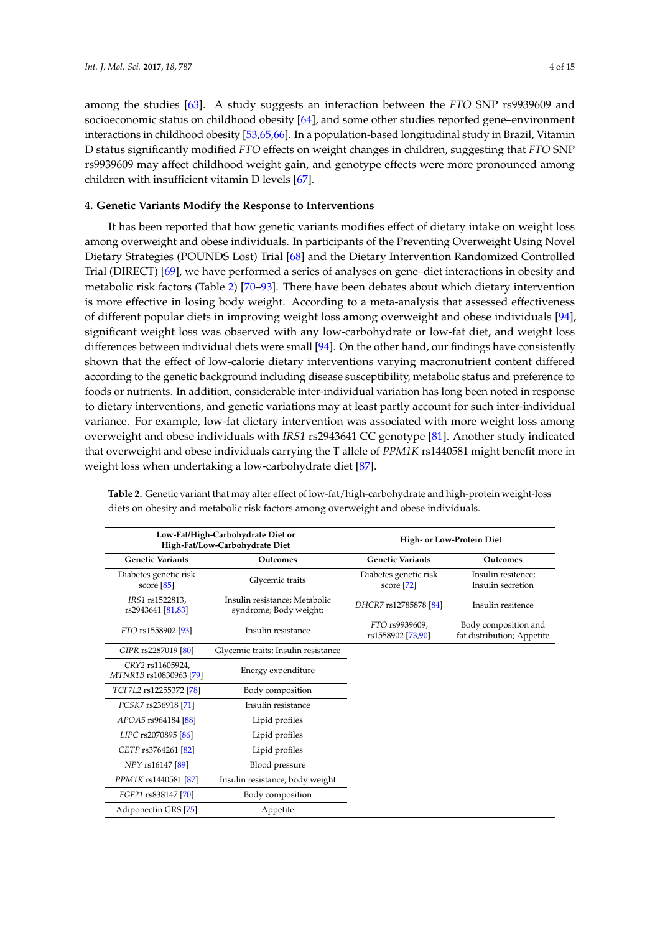among the studies [\[63\]](#page-10-5). A study suggests an interaction between the *FTO* SNP rs9939609 and socioeconomic status on childhood obesity [\[64\]](#page-10-6), and some other studies reported gene–environment interactions in childhood obesity [\[53,](#page-9-12)[65,](#page-10-7)[66\]](#page-10-8). In a population-based longitudinal study in Brazil, Vitamin D status significantly modified *FTO* effects on weight changes in children, suggesting that *FTO* SNP rs9939609 may affect childhood weight gain, and genotype effects were more pronounced among children with insufficient vitamin D levels [\[67\]](#page-10-9).

# **4. Genetic Variants Modify the Response to Interventions**

It has been reported that how genetic variants modifies effect of dietary intake on weight loss among overweight and obese individuals. In participants of the Preventing Overweight Using Novel Dietary Strategies (POUNDS Lost) Trial [\[68\]](#page-10-10) and the Dietary Intervention Randomized Controlled Trial (DIRECT) [\[69\]](#page-10-11), we have performed a series of analyses on gene–diet interactions in obesity and metabolic risk factors (Table [2\)](#page-3-0) [\[70](#page-10-12)[–93\]](#page-12-0). There have been debates about which dietary intervention is more effective in losing body weight. According to a meta-analysis that assessed effectiveness of different popular diets in improving weight loss among overweight and obese individuals [\[94\]](#page-12-1), significant weight loss was observed with any low-carbohydrate or low-fat diet, and weight loss differences between individual diets were small [\[94\]](#page-12-1). On the other hand, our findings have consistently shown that the effect of low-calorie dietary interventions varying macronutrient content differed according to the genetic background including disease susceptibility, metabolic status and preference to foods or nutrients. In addition, considerable inter-individual variation has long been noted in response to dietary interventions, and genetic variations may at least partly account for such inter-individual variance. For example, low-fat dietary intervention was associated with more weight loss among overweight and obese individuals with *IRS1* rs2943641 CC genotype [\[81\]](#page-11-0). Another study indicated that overweight and obese individuals carrying the T allele of *PPM1K* rs1440581 might benefit more in weight loss when undertaking a low-carbohydrate diet [\[87\]](#page-11-1).

| Low-Fat/High-Carbohydrate Diet or<br>High-Fat/Low-Carbohydrate Diet |                                                         | High- or Low-Protein Diet             |                                                    |
|---------------------------------------------------------------------|---------------------------------------------------------|---------------------------------------|----------------------------------------------------|
| <b>Genetic Variants</b>                                             | <b>Outcomes</b>                                         | <b>Genetic Variants</b>               | <b>Outcomes</b>                                    |
| Diabetes genetic risk<br>score $[85]$                               | Glycemic traits                                         | Diabetes genetic risk<br>score $[72]$ | Insulin resitence;<br>Insulin secretion            |
| IRS1 rs1522813,<br>rs2943641 [81,83]                                | Insulin resistance; Metabolic<br>syndrome; Body weight; | DHCR7 rs12785878 [84]                 | Insulin resitence                                  |
| FTO rs1558902 [93]                                                  | Insulin resistance                                      | FTO rs9939609,<br>rs1558902 [73,90]   | Body composition and<br>fat distribution; Appetite |
| GIPR rs2287019 [80]                                                 | Glycemic traits; Insulin resistance                     |                                       |                                                    |
| CRY2 rs11605924,<br>MTNR1B rs10830963 [79]                          | Energy expenditure                                      |                                       |                                                    |
| TCF7L2 rs12255372 [78]                                              | Body composition                                        |                                       |                                                    |
| PCSK7 rs236918 [71]                                                 | Insulin resistance                                      |                                       |                                                    |
| APOA5 rs964184 [88]                                                 | Lipid profiles                                          |                                       |                                                    |
| LIPC rs2070895 [86]                                                 | Lipid profiles                                          |                                       |                                                    |
| CETP rs3764261 [82]                                                 | Lipid profiles                                          |                                       |                                                    |
| NPY rs16147 [89]                                                    | Blood pressure                                          |                                       |                                                    |
| PPM1K rs1440581 [87]                                                | Insulin resistance; body weight                         |                                       |                                                    |
| FGF21 rs838147 [70]                                                 | Body composition                                        |                                       |                                                    |
| Adiponectin GRS [75]                                                | Appetite                                                |                                       |                                                    |

<span id="page-3-0"></span>**Table 2.** Genetic variant that may alter effect of low-fat/high-carbohydrate and high-protein weight-loss diets on obesity and metabolic risk factors among overweight and obese individuals.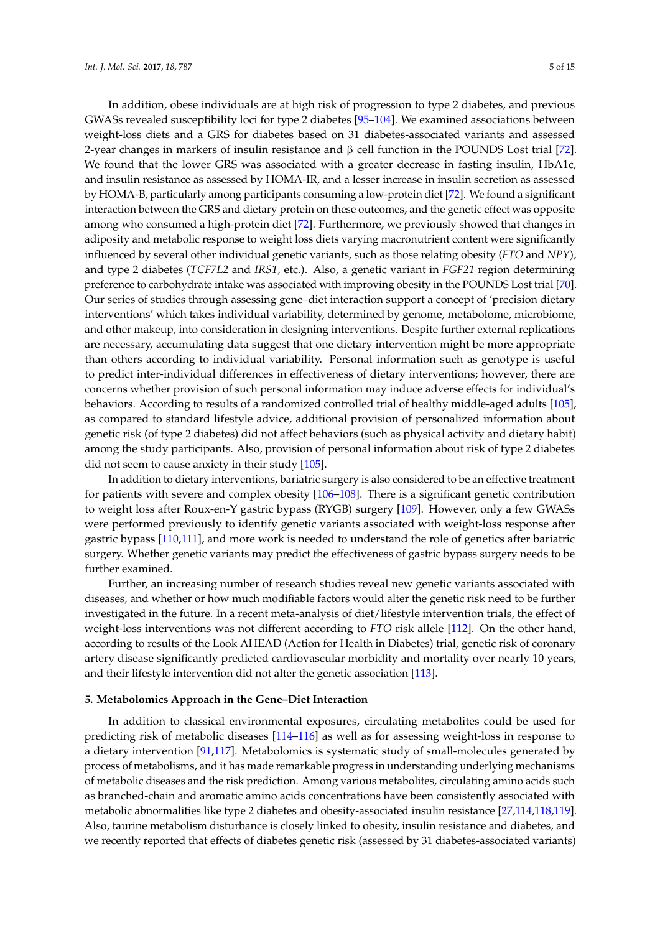In addition, obese individuals are at high risk of progression to type 2 diabetes, and previous GWASs revealed susceptibility loci for type 2 diabetes [\[95–](#page-12-2)[104\]](#page-12-3). We examined associations between weight-loss diets and a GRS for diabetes based on 31 diabetes-associated variants and assessed 2-year changes in markers of insulin resistance and  $β$  cell function in the POUNDS Lost trial [\[72\]](#page-10-13). We found that the lower GRS was associated with a greater decrease in fasting insulin, HbA1c, and insulin resistance as assessed by HOMA-IR, and a lesser increase in insulin secretion as assessed by HOMA-B, particularly among participants consuming a low-protein diet [\[72\]](#page-10-13). We found a significant interaction between the GRS and dietary protein on these outcomes, and the genetic effect was opposite among who consumed a high-protein diet [\[72\]](#page-10-13). Furthermore, we previously showed that changes in adiposity and metabolic response to weight loss diets varying macronutrient content were significantly influenced by several other individual genetic variants, such as those relating obesity (*FTO* and *NPY*), and type 2 diabetes (*TCF7L2* and *IRS1*, etc.). Also, a genetic variant in *FGF21* region determining preference to carbohydrate intake was associated with improving obesity in the POUNDS Lost trial [\[70\]](#page-10-12). Our series of studies through assessing gene–diet interaction support a concept of 'precision dietary interventions' which takes individual variability, determined by genome, metabolome, microbiome, and other makeup, into consideration in designing interventions. Despite further external replications are necessary, accumulating data suggest that one dietary intervention might be more appropriate than others according to individual variability. Personal information such as genotype is useful to predict inter-individual differences in effectiveness of dietary interventions; however, there are concerns whether provision of such personal information may induce adverse effects for individual's behaviors. According to results of a randomized controlled trial of healthy middle-aged adults [\[105\]](#page-12-4), as compared to standard lifestyle advice, additional provision of personalized information about genetic risk (of type 2 diabetes) did not affect behaviors (such as physical activity and dietary habit) among the study participants. Also, provision of personal information about risk of type 2 diabetes did not seem to cause anxiety in their study [\[105\]](#page-12-4).

In addition to dietary interventions, bariatric surgery is also considered to be an effective treatment for patients with severe and complex obesity [\[106](#page-12-5)[–108\]](#page-13-0). There is a significant genetic contribution to weight loss after Roux-en-Y gastric bypass (RYGB) surgery [\[109\]](#page-13-1). However, only a few GWASs were performed previously to identify genetic variants associated with weight-loss response after gastric bypass [\[110,](#page-13-2)[111\]](#page-13-3), and more work is needed to understand the role of genetics after bariatric surgery. Whether genetic variants may predict the effectiveness of gastric bypass surgery needs to be further examined.

Further, an increasing number of research studies reveal new genetic variants associated with diseases, and whether or how much modifiable factors would alter the genetic risk need to be further investigated in the future. In a recent meta-analysis of diet/lifestyle intervention trials, the effect of weight-loss interventions was not different according to *FTO* risk allele [\[112\]](#page-13-4). On the other hand, according to results of the Look AHEAD (Action for Health in Diabetes) trial, genetic risk of coronary artery disease significantly predicted cardiovascular morbidity and mortality over nearly 10 years, and their lifestyle intervention did not alter the genetic association [\[113\]](#page-13-5).

## **5. Metabolomics Approach in the Gene–Diet Interaction**

In addition to classical environmental exposures, circulating metabolites could be used for predicting risk of metabolic diseases [\[114–](#page-13-6)[116\]](#page-13-7) as well as for assessing weight-loss in response to a dietary intervention [\[91](#page-12-6)[,117\]](#page-13-8). Metabolomics is systematic study of small-molecules generated by process of metabolisms, and it has made remarkable progress in understanding underlying mechanisms of metabolic diseases and the risk prediction. Among various metabolites, circulating amino acids such as branched-chain and aromatic amino acids concentrations have been consistently associated with metabolic abnormalities like type 2 diabetes and obesity-associated insulin resistance [\[27,](#page-8-4)[114](#page-13-6)[,118](#page-13-9)[,119\]](#page-13-10). Also, taurine metabolism disturbance is closely linked to obesity, insulin resistance and diabetes, and we recently reported that effects of diabetes genetic risk (assessed by 31 diabetes-associated variants)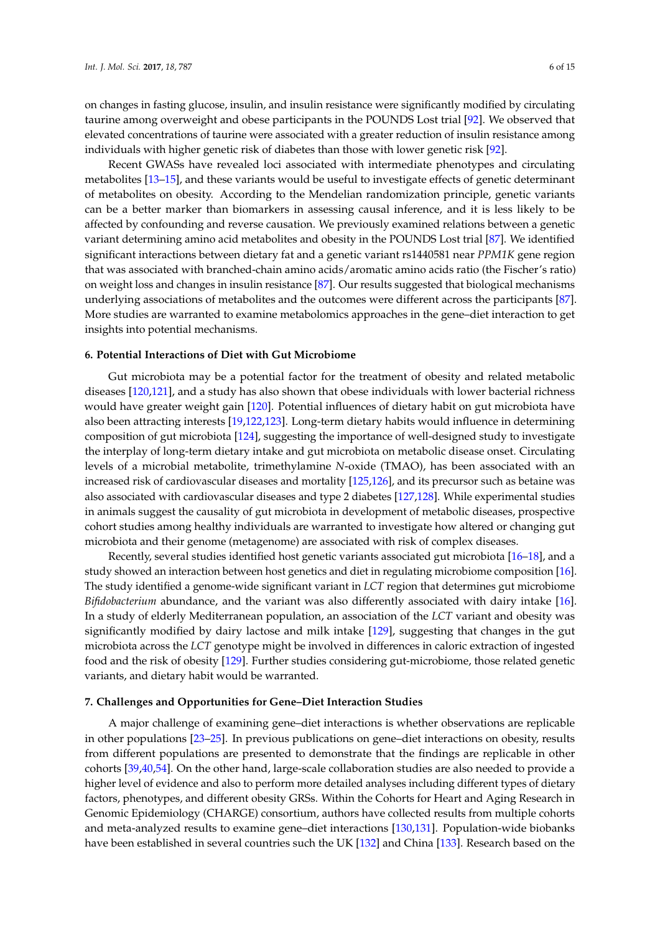on changes in fasting glucose, insulin, and insulin resistance were significantly modified by circulating taurine among overweight and obese participants in the POUNDS Lost trial [\[92\]](#page-12-7). We observed that elevated concentrations of taurine were associated with a greater reduction of insulin resistance among individuals with higher genetic risk of diabetes than those with lower genetic risk [\[92\]](#page-12-7).

Recent GWASs have revealed loci associated with intermediate phenotypes and circulating metabolites [\[13–](#page-7-6)[15\]](#page-7-10), and these variants would be useful to investigate effects of genetic determinant of metabolites on obesity. According to the Mendelian randomization principle, genetic variants can be a better marker than biomarkers in assessing causal inference, and it is less likely to be affected by confounding and reverse causation. We previously examined relations between a genetic variant determining amino acid metabolites and obesity in the POUNDS Lost trial [\[87\]](#page-11-1). We identified significant interactions between dietary fat and a genetic variant rs1440581 near *PPM1K* gene region that was associated with branched-chain amino acids/aromatic amino acids ratio (the Fischer's ratio) on weight loss and changes in insulin resistance [\[87\]](#page-11-1). Our results suggested that biological mechanisms underlying associations of metabolites and the outcomes were different across the participants [\[87\]](#page-11-1). More studies are warranted to examine metabolomics approaches in the gene–diet interaction to get insights into potential mechanisms.

### **6. Potential Interactions of Diet with Gut Microbiome**

Gut microbiota may be a potential factor for the treatment of obesity and related metabolic diseases [\[120](#page-13-11)[,121\]](#page-13-12), and a study has also shown that obese individuals with lower bacterial richness would have greater weight gain [\[120\]](#page-13-11). Potential influences of dietary habit on gut microbiota have also been attracting interests [\[19,](#page-7-8)[122,](#page-13-13)[123\]](#page-13-14). Long-term dietary habits would influence in determining composition of gut microbiota [\[124\]](#page-13-15), suggesting the importance of well-designed study to investigate the interplay of long-term dietary intake and gut microbiota on metabolic disease onset. Circulating levels of a microbial metabolite, trimethylamine *N*-oxide (TMAO), has been associated with an increased risk of cardiovascular diseases and mortality [\[125](#page-14-0)[,126\]](#page-14-1), and its precursor such as betaine was also associated with cardiovascular diseases and type 2 diabetes [\[127](#page-14-2)[,128\]](#page-14-3). While experimental studies in animals suggest the causality of gut microbiota in development of metabolic diseases, prospective cohort studies among healthy individuals are warranted to investigate how altered or changing gut microbiota and their genome (metagenome) are associated with risk of complex diseases.

Recently, several studies identified host genetic variants associated gut microbiota [\[16](#page-7-11)[–18\]](#page-7-7), and a study showed an interaction between host genetics and diet in regulating microbiome composition [\[16\]](#page-7-11). The study identified a genome-wide significant variant in *LCT* region that determines gut microbiome *Bifidobacterium* abundance, and the variant was also differently associated with dairy intake [\[16\]](#page-7-11). In a study of elderly Mediterranean population, an association of the *LCT* variant and obesity was significantly modified by dairy lactose and milk intake [\[129\]](#page-14-4), suggesting that changes in the gut microbiota across the *LCT* genotype might be involved in differences in caloric extraction of ingested food and the risk of obesity [\[129\]](#page-14-4). Further studies considering gut-microbiome, those related genetic variants, and dietary habit would be warranted.

#### **7. Challenges and Opportunities for Gene–Diet Interaction Studies**

A major challenge of examining gene–diet interactions is whether observations are replicable in other populations [\[23–](#page-8-2)[25\]](#page-8-9). In previous publications on gene–diet interactions on obesity, results from different populations are presented to demonstrate that the findings are replicable in other cohorts [\[39](#page-8-8)[,40,](#page-9-8)[54\]](#page-9-13). On the other hand, large-scale collaboration studies are also needed to provide a higher level of evidence and also to perform more detailed analyses including different types of dietary factors, phenotypes, and different obesity GRSs. Within the Cohorts for Heart and Aging Research in Genomic Epidemiology (CHARGE) consortium, authors have collected results from multiple cohorts and meta-analyzed results to examine gene–diet interactions [\[130](#page-14-5)[,131\]](#page-14-6). Population-wide biobanks have been established in several countries such the UK [\[132\]](#page-14-7) and China [\[133\]](#page-14-8). Research based on the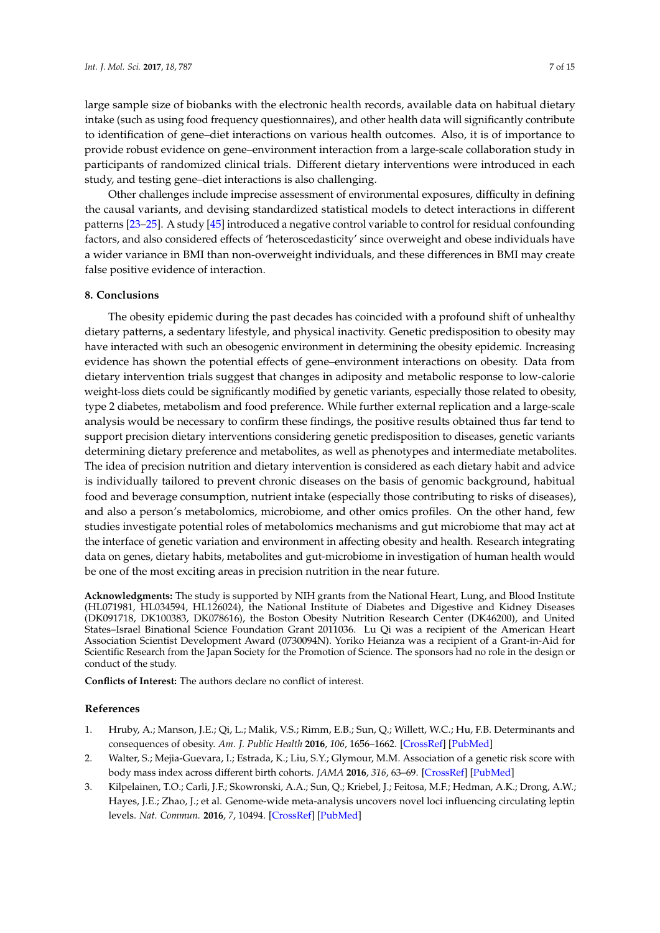large sample size of biobanks with the electronic health records, available data on habitual dietary intake (such as using food frequency questionnaires), and other health data will significantly contribute to identification of gene–diet interactions on various health outcomes. Also, it is of importance to provide robust evidence on gene–environment interaction from a large-scale collaboration study in participants of randomized clinical trials. Different dietary interventions were introduced in each study, and testing gene–diet interactions is also challenging.

Other challenges include imprecise assessment of environmental exposures, difficulty in defining the causal variants, and devising standardized statistical models to detect interactions in different patterns [\[23–](#page-8-2)[25\]](#page-8-9). A study [\[45\]](#page-9-3) introduced a negative control variable to control for residual confounding factors, and also considered effects of 'heteroscedasticity' since overweight and obese individuals have a wider variance in BMI than non-overweight individuals, and these differences in BMI may create false positive evidence of interaction.

# **8. Conclusions**

The obesity epidemic during the past decades has coincided with a profound shift of unhealthy dietary patterns, a sedentary lifestyle, and physical inactivity. Genetic predisposition to obesity may have interacted with such an obesogenic environment in determining the obesity epidemic. Increasing evidence has shown the potential effects of gene–environment interactions on obesity. Data from dietary intervention trials suggest that changes in adiposity and metabolic response to low-calorie weight-loss diets could be significantly modified by genetic variants, especially those related to obesity, type 2 diabetes, metabolism and food preference. While further external replication and a large-scale analysis would be necessary to confirm these findings, the positive results obtained thus far tend to support precision dietary interventions considering genetic predisposition to diseases, genetic variants determining dietary preference and metabolites, as well as phenotypes and intermediate metabolites. The idea of precision nutrition and dietary intervention is considered as each dietary habit and advice is individually tailored to prevent chronic diseases on the basis of genomic background, habitual food and beverage consumption, nutrient intake (especially those contributing to risks of diseases), and also a person's metabolomics, microbiome, and other omics profiles. On the other hand, few studies investigate potential roles of metabolomics mechanisms and gut microbiome that may act at the interface of genetic variation and environment in affecting obesity and health. Research integrating data on genes, dietary habits, metabolites and gut-microbiome in investigation of human health would be one of the most exciting areas in precision nutrition in the near future.

**Acknowledgments:** The study is supported by NIH grants from the National Heart, Lung, and Blood Institute (HL071981, HL034594, HL126024), the National Institute of Diabetes and Digestive and Kidney Diseases (DK091718, DK100383, DK078616), the Boston Obesity Nutrition Research Center (DK46200), and United States–Israel Binational Science Foundation Grant 2011036. Lu Qi was a recipient of the American Heart Association Scientist Development Award (0730094N). Yoriko Heianza was a recipient of a Grant-in-Aid for Scientific Research from the Japan Society for the Promotion of Science. The sponsors had no role in the design or conduct of the study.

**Conflicts of Interest:** The authors declare no conflict of interest.

## **References**

- <span id="page-6-0"></span>1. Hruby, A.; Manson, J.E.; Qi, L.; Malik, V.S.; Rimm, E.B.; Sun, Q.; Willett, W.C.; Hu, F.B. Determinants and consequences of obesity. *Am. J. Public Health* **2016**, *106*, 1656–1662. [\[CrossRef\]](http://dx.doi.org/10.2105/AJPH.2016.303326) [\[PubMed\]](http://www.ncbi.nlm.nih.gov/pubmed/27459460)
- <span id="page-6-1"></span>2. Walter, S.; Mejia-Guevara, I.; Estrada, K.; Liu, S.Y.; Glymour, M.M. Association of a genetic risk score with body mass index across different birth cohorts. *JAMA* **2016**, *316*, 63–69. [\[CrossRef\]](http://dx.doi.org/10.1001/jama.2016.8729) [\[PubMed\]](http://www.ncbi.nlm.nih.gov/pubmed/27380344)
- <span id="page-6-2"></span>3. Kilpelainen, T.O.; Carli, J.F.; Skowronski, A.A.; Sun, Q.; Kriebel, J.; Feitosa, M.F.; Hedman, A.K.; Drong, A.W.; Hayes, J.E.; Zhao, J.; et al. Genome-wide meta-analysis uncovers novel loci influencing circulating leptin levels. *Nat. Commun.* **2016**, *7*, 10494. [\[CrossRef\]](http://dx.doi.org/10.1038/ncomms10494) [\[PubMed\]](http://www.ncbi.nlm.nih.gov/pubmed/26833098)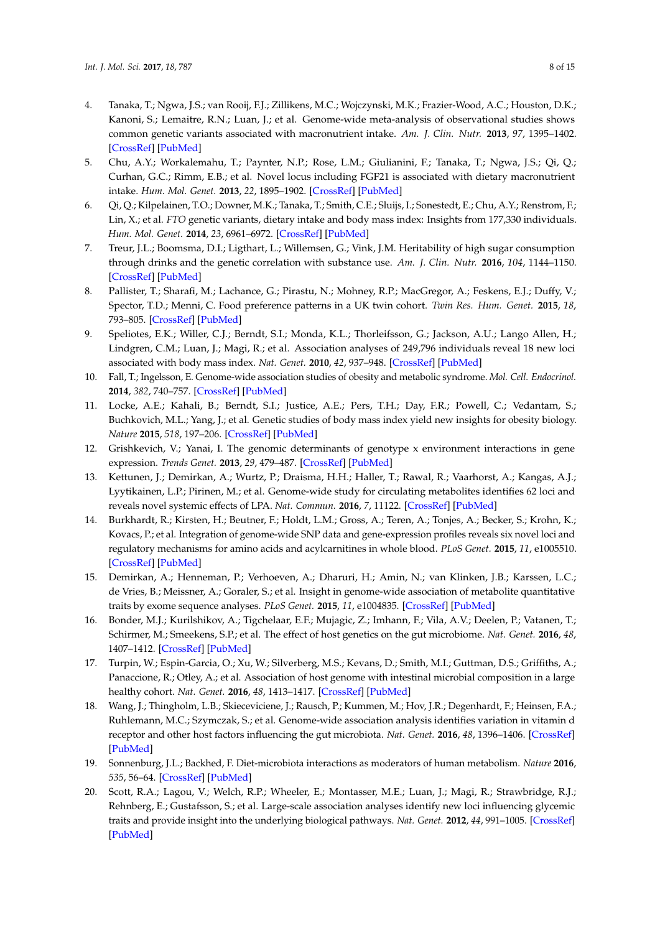- 4. Tanaka, T.; Ngwa, J.S.; van Rooij, F.J.; Zillikens, M.C.; Wojczynski, M.K.; Frazier-Wood, A.C.; Houston, D.K.; Kanoni, S.; Lemaitre, R.N.; Luan, J.; et al. Genome-wide meta-analysis of observational studies shows common genetic variants associated with macronutrient intake. *Am. J. Clin. Nutr.* **2013**, *97*, 1395–1402. [\[CrossRef\]](http://dx.doi.org/10.3945/ajcn.112.052183) [\[PubMed\]](http://www.ncbi.nlm.nih.gov/pubmed/23636237)
- 5. Chu, A.Y.; Workalemahu, T.; Paynter, N.P.; Rose, L.M.; Giulianini, F.; Tanaka, T.; Ngwa, J.S.; Qi, Q.; Curhan, G.C.; Rimm, E.B.; et al. Novel locus including FGF21 is associated with dietary macronutrient intake. *Hum. Mol. Genet.* **2013**, *22*, 1895–1902. [\[CrossRef\]](http://dx.doi.org/10.1093/hmg/ddt032) [\[PubMed\]](http://www.ncbi.nlm.nih.gov/pubmed/23372041)
- <span id="page-7-0"></span>6. Qi, Q.; Kilpelainen, T.O.; Downer, M.K.; Tanaka, T.; Smith, C.E.; Sluijs, I.; Sonestedt, E.; Chu, A.Y.; Renstrom, F.; Lin, X.; et al. *FTO* genetic variants, dietary intake and body mass index: Insights from 177,330 individuals. *Hum. Mol. Genet.* **2014**, *23*, 6961–6972. [\[CrossRef\]](http://dx.doi.org/10.1093/hmg/ddu411) [\[PubMed\]](http://www.ncbi.nlm.nih.gov/pubmed/25104851)
- <span id="page-7-1"></span>7. Treur, J.L.; Boomsma, D.I.; Ligthart, L.; Willemsen, G.; Vink, J.M. Heritability of high sugar consumption through drinks and the genetic correlation with substance use. *Am. J. Clin. Nutr.* **2016**, *104*, 1144–1150. [\[CrossRef\]](http://dx.doi.org/10.3945/ajcn.115.127324) [\[PubMed\]](http://www.ncbi.nlm.nih.gov/pubmed/27581476)
- <span id="page-7-2"></span>8. Pallister, T.; Sharafi, M.; Lachance, G.; Pirastu, N.; Mohney, R.P.; MacGregor, A.; Feskens, E.J.; Duffy, V.; Spector, T.D.; Menni, C. Food preference patterns in a UK twin cohort. *Twin Res. Hum. Genet.* **2015**, *18*, 793–805. [\[CrossRef\]](http://dx.doi.org/10.1017/thg.2015.69) [\[PubMed\]](http://www.ncbi.nlm.nih.gov/pubmed/26412323)
- <span id="page-7-3"></span>9. Speliotes, E.K.; Willer, C.J.; Berndt, S.I.; Monda, K.L.; Thorleifsson, G.; Jackson, A.U.; Lango Allen, H.; Lindgren, C.M.; Luan, J.; Magi, R.; et al. Association analyses of 249,796 individuals reveal 18 new loci associated with body mass index. *Nat. Genet.* **2010**, *42*, 937–948. [\[CrossRef\]](http://dx.doi.org/10.1038/ng.686) [\[PubMed\]](http://www.ncbi.nlm.nih.gov/pubmed/20935630)
- 10. Fall, T.; Ingelsson, E. Genome-wide association studies of obesity and metabolic syndrome. *Mol. Cell. Endocrinol.* **2014**, *382*, 740–757. [\[CrossRef\]](http://dx.doi.org/10.1016/j.mce.2012.08.018) [\[PubMed\]](http://www.ncbi.nlm.nih.gov/pubmed/22963884)
- <span id="page-7-4"></span>11. Locke, A.E.; Kahali, B.; Berndt, S.I.; Justice, A.E.; Pers, T.H.; Day, F.R.; Powell, C.; Vedantam, S.; Buchkovich, M.L.; Yang, J.; et al. Genetic studies of body mass index yield new insights for obesity biology. *Nature* **2015**, *518*, 197–206. [\[CrossRef\]](http://dx.doi.org/10.1038/nature14177) [\[PubMed\]](http://www.ncbi.nlm.nih.gov/pubmed/25673413)
- <span id="page-7-5"></span>12. Grishkevich, V.; Yanai, I. The genomic determinants of genotype x environment interactions in gene expression. *Trends Genet.* **2013**, *29*, 479–487. [\[CrossRef\]](http://dx.doi.org/10.1016/j.tig.2013.05.006) [\[PubMed\]](http://www.ncbi.nlm.nih.gov/pubmed/23769209)
- <span id="page-7-6"></span>13. Kettunen, J.; Demirkan, A.; Wurtz, P.; Draisma, H.H.; Haller, T.; Rawal, R.; Vaarhorst, A.; Kangas, A.J.; Lyytikainen, L.P.; Pirinen, M.; et al. Genome-wide study for circulating metabolites identifies 62 loci and reveals novel systemic effects of LPA. *Nat. Commun.* **2016**, *7*, 11122. [\[CrossRef\]](http://dx.doi.org/10.1038/ncomms11122) [\[PubMed\]](http://www.ncbi.nlm.nih.gov/pubmed/27005778)
- 14. Burkhardt, R.; Kirsten, H.; Beutner, F.; Holdt, L.M.; Gross, A.; Teren, A.; Tonjes, A.; Becker, S.; Krohn, K.; Kovacs, P.; et al. Integration of genome-wide SNP data and gene-expression profiles reveals six novel loci and regulatory mechanisms for amino acids and acylcarnitines in whole blood. *PLoS Genet.* **2015**, *11*, e1005510. [\[CrossRef\]](http://dx.doi.org/10.1371/journal.pgen.1005510) [\[PubMed\]](http://www.ncbi.nlm.nih.gov/pubmed/26401656)
- <span id="page-7-10"></span>15. Demirkan, A.; Henneman, P.; Verhoeven, A.; Dharuri, H.; Amin, N.; van Klinken, J.B.; Karssen, L.C.; de Vries, B.; Meissner, A.; Goraler, S.; et al. Insight in genome-wide association of metabolite quantitative traits by exome sequence analyses. *PLoS Genet.* **2015**, *11*, e1004835. [\[CrossRef\]](http://dx.doi.org/10.1371/journal.pgen.1004835) [\[PubMed\]](http://www.ncbi.nlm.nih.gov/pubmed/25569235)
- <span id="page-7-11"></span>16. Bonder, M.J.; Kurilshikov, A.; Tigchelaar, E.F.; Mujagic, Z.; Imhann, F.; Vila, A.V.; Deelen, P.; Vatanen, T.; Schirmer, M.; Smeekens, S.P.; et al. The effect of host genetics on the gut microbiome. *Nat. Genet.* **2016**, *48*, 1407–1412. [\[CrossRef\]](http://dx.doi.org/10.1038/ng.3663) [\[PubMed\]](http://www.ncbi.nlm.nih.gov/pubmed/27694959)
- 17. Turpin, W.; Espin-Garcia, O.; Xu, W.; Silverberg, M.S.; Kevans, D.; Smith, M.I.; Guttman, D.S.; Griffiths, A.; Panaccione, R.; Otley, A.; et al. Association of host genome with intestinal microbial composition in a large healthy cohort. *Nat. Genet.* **2016**, *48*, 1413–1417. [\[CrossRef\]](http://dx.doi.org/10.1038/ng.3693) [\[PubMed\]](http://www.ncbi.nlm.nih.gov/pubmed/27694960)
- <span id="page-7-7"></span>18. Wang, J.; Thingholm, L.B.; Skieceviciene, J.; Rausch, P.; Kummen, M.; Hov, J.R.; Degenhardt, F.; Heinsen, F.A.; Ruhlemann, M.C.; Szymczak, S.; et al. Genome-wide association analysis identifies variation in vitamin d receptor and other host factors influencing the gut microbiota. *Nat. Genet.* **2016**, *48*, 1396–1406. [\[CrossRef\]](http://dx.doi.org/10.1038/ng.3695) [\[PubMed\]](http://www.ncbi.nlm.nih.gov/pubmed/27723756)
- <span id="page-7-8"></span>19. Sonnenburg, J.L.; Backhed, F. Diet-microbiota interactions as moderators of human metabolism. *Nature* **2016**, *535*, 56–64. [\[CrossRef\]](http://dx.doi.org/10.1038/nature18846) [\[PubMed\]](http://www.ncbi.nlm.nih.gov/pubmed/27383980)
- <span id="page-7-9"></span>20. Scott, R.A.; Lagou, V.; Welch, R.P.; Wheeler, E.; Montasser, M.E.; Luan, J.; Magi, R.; Strawbridge, R.J.; Rehnberg, E.; Gustafsson, S.; et al. Large-scale association analyses identify new loci influencing glycemic traits and provide insight into the underlying biological pathways. *Nat. Genet.* **2012**, *44*, 991–1005. [\[CrossRef\]](http://dx.doi.org/10.1038/ng.2385) [\[PubMed\]](http://www.ncbi.nlm.nih.gov/pubmed/22885924)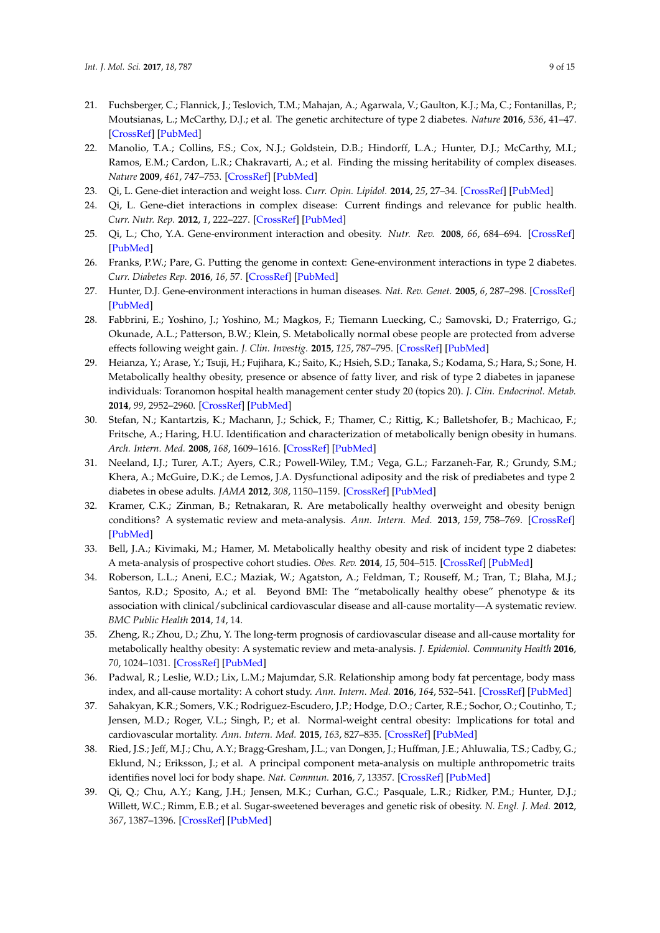- <span id="page-8-0"></span>21. Fuchsberger, C.; Flannick, J.; Teslovich, T.M.; Mahajan, A.; Agarwala, V.; Gaulton, K.J.; Ma, C.; Fontanillas, P.; Moutsianas, L.; McCarthy, D.J.; et al. The genetic architecture of type 2 diabetes. *Nature* **2016**, *536*, 41–47. [\[CrossRef\]](http://dx.doi.org/10.1038/nature18642) [\[PubMed\]](http://www.ncbi.nlm.nih.gov/pubmed/27398621)
- <span id="page-8-1"></span>22. Manolio, T.A.; Collins, F.S.; Cox, N.J.; Goldstein, D.B.; Hindorff, L.A.; Hunter, D.J.; McCarthy, M.I.; Ramos, E.M.; Cardon, L.R.; Chakravarti, A.; et al. Finding the missing heritability of complex diseases. *Nature* **2009**, *461*, 747–753. [\[CrossRef\]](http://dx.doi.org/10.1038/nature08494) [\[PubMed\]](http://www.ncbi.nlm.nih.gov/pubmed/19812666)
- <span id="page-8-2"></span>23. Qi, L. Gene-diet interaction and weight loss. *Curr. Opin. Lipidol.* **2014**, *25*, 27–34. [\[CrossRef\]](http://dx.doi.org/10.1097/MOL.0000000000000037) [\[PubMed\]](http://www.ncbi.nlm.nih.gov/pubmed/24345984)
- 24. Qi, L. Gene-diet interactions in complex disease: Current findings and relevance for public health. *Curr. Nutr. Rep.* **2012**, *1*, 222–227. [\[CrossRef\]](http://dx.doi.org/10.1007/s13668-012-0029-8) [\[PubMed\]](http://www.ncbi.nlm.nih.gov/pubmed/23139897)
- <span id="page-8-9"></span>25. Qi, L.; Cho, Y.A. Gene-environment interaction and obesity. *Nutr. Rev.* **2008**, *66*, 684–694. [\[CrossRef\]](http://dx.doi.org/10.1111/j.1753-4887.2008.00128.x) [\[PubMed\]](http://www.ncbi.nlm.nih.gov/pubmed/19019037)
- <span id="page-8-3"></span>26. Franks, P.W.; Pare, G. Putting the genome in context: Gene-environment interactions in type 2 diabetes. *Curr. Diabetes Rep.* **2016**, *16*, 57. [\[CrossRef\]](http://dx.doi.org/10.1007/s11892-016-0758-y) [\[PubMed\]](http://www.ncbi.nlm.nih.gov/pubmed/27155607)
- <span id="page-8-4"></span>27. Hunter, D.J. Gene-environment interactions in human diseases. *Nat. Rev. Genet.* **2005**, *6*, 287–298. [\[CrossRef\]](http://dx.doi.org/10.1038/nrg1578) [\[PubMed\]](http://www.ncbi.nlm.nih.gov/pubmed/15803198)
- <span id="page-8-5"></span>28. Fabbrini, E.; Yoshino, J.; Yoshino, M.; Magkos, F.; Tiemann Luecking, C.; Samovski, D.; Fraterrigo, G.; Okunade, A.L.; Patterson, B.W.; Klein, S. Metabolically normal obese people are protected from adverse effects following weight gain. *J. Clin. Investig.* **2015**, *125*, 787–795. [\[CrossRef\]](http://dx.doi.org/10.1172/JCI78425) [\[PubMed\]](http://www.ncbi.nlm.nih.gov/pubmed/25555214)
- 29. Heianza, Y.; Arase, Y.; Tsuji, H.; Fujihara, K.; Saito, K.; Hsieh, S.D.; Tanaka, S.; Kodama, S.; Hara, S.; Sone, H. Metabolically healthy obesity, presence or absence of fatty liver, and risk of type 2 diabetes in japanese individuals: Toranomon hospital health management center study 20 (topics 20). *J. Clin. Endocrinol. Metab.* **2014**, *99*, 2952–2960. [\[CrossRef\]](http://dx.doi.org/10.1210/jc.2013-4427) [\[PubMed\]](http://www.ncbi.nlm.nih.gov/pubmed/24823457)
- 30. Stefan, N.; Kantartzis, K.; Machann, J.; Schick, F.; Thamer, C.; Rittig, K.; Balletshofer, B.; Machicao, F.; Fritsche, A.; Haring, H.U. Identification and characterization of metabolically benign obesity in humans. *Arch. Intern. Med.* **2008**, *168*, 1609–1616. [\[CrossRef\]](http://dx.doi.org/10.1001/archinte.168.15.1609) [\[PubMed\]](http://www.ncbi.nlm.nih.gov/pubmed/18695074)
- 31. Neeland, I.J.; Turer, A.T.; Ayers, C.R.; Powell-Wiley, T.M.; Vega, G.L.; Farzaneh-Far, R.; Grundy, S.M.; Khera, A.; McGuire, D.K.; de Lemos, J.A. Dysfunctional adiposity and the risk of prediabetes and type 2 diabetes in obese adults. *JAMA* **2012**, *308*, 1150–1159. [\[CrossRef\]](http://dx.doi.org/10.1001/2012.jama.11132) [\[PubMed\]](http://www.ncbi.nlm.nih.gov/pubmed/22990274)
- 32. Kramer, C.K.; Zinman, B.; Retnakaran, R. Are metabolically healthy overweight and obesity benign conditions? A systematic review and meta-analysis. *Ann. Intern. Med.* **2013**, *159*, 758–769. [\[CrossRef\]](http://dx.doi.org/10.7326/0003-4819-159-11-201312030-00008) [\[PubMed\]](http://www.ncbi.nlm.nih.gov/pubmed/24297192)
- 33. Bell, J.A.; Kivimaki, M.; Hamer, M. Metabolically healthy obesity and risk of incident type 2 diabetes: A meta-analysis of prospective cohort studies. *Obes. Rev.* **2014**, *15*, 504–515. [\[CrossRef\]](http://dx.doi.org/10.1111/obr.12157) [\[PubMed\]](http://www.ncbi.nlm.nih.gov/pubmed/24661566)
- 34. Roberson, L.L.; Aneni, E.C.; Maziak, W.; Agatston, A.; Feldman, T.; Rouseff, M.; Tran, T.; Blaha, M.J.; Santos, R.D.; Sposito, A.; et al. Beyond BMI: The "metabolically healthy obese" phenotype & its association with clinical/subclinical cardiovascular disease and all-cause mortality—A systematic review. *BMC Public Health* **2014**, *14*, 14.
- 35. Zheng, R.; Zhou, D.; Zhu, Y. The long-term prognosis of cardiovascular disease and all-cause mortality for metabolically healthy obesity: A systematic review and meta-analysis. *J. Epidemiol. Community Health* **2016**, *70*, 1024–1031. [\[CrossRef\]](http://dx.doi.org/10.1136/jech-2015-206948) [\[PubMed\]](http://www.ncbi.nlm.nih.gov/pubmed/27126492)
- 36. Padwal, R.; Leslie, W.D.; Lix, L.M.; Majumdar, S.R. Relationship among body fat percentage, body mass index, and all-cause mortality: A cohort study. *Ann. Intern. Med.* **2016**, *164*, 532–541. [\[CrossRef\]](http://dx.doi.org/10.7326/M15-1181) [\[PubMed\]](http://www.ncbi.nlm.nih.gov/pubmed/26954388)
- <span id="page-8-6"></span>37. Sahakyan, K.R.; Somers, V.K.; Rodriguez-Escudero, J.P.; Hodge, D.O.; Carter, R.E.; Sochor, O.; Coutinho, T.; Jensen, M.D.; Roger, V.L.; Singh, P.; et al. Normal-weight central obesity: Implications for total and cardiovascular mortality. *Ann. Intern. Med.* **2015**, *163*, 827–835. [\[CrossRef\]](http://dx.doi.org/10.7326/M14-2525) [\[PubMed\]](http://www.ncbi.nlm.nih.gov/pubmed/26551006)
- <span id="page-8-7"></span>38. Ried, J.S.; Jeff, M.J.; Chu, A.Y.; Bragg-Gresham, J.L.; van Dongen, J.; Huffman, J.E.; Ahluwalia, T.S.; Cadby, G.; Eklund, N.; Eriksson, J.; et al. A principal component meta-analysis on multiple anthropometric traits identifies novel loci for body shape. *Nat. Commun.* **2016**, *7*, 13357. [\[CrossRef\]](http://dx.doi.org/10.1038/ncomms13357) [\[PubMed\]](http://www.ncbi.nlm.nih.gov/pubmed/27876822)
- <span id="page-8-8"></span>39. Qi, Q.; Chu, A.Y.; Kang, J.H.; Jensen, M.K.; Curhan, G.C.; Pasquale, L.R.; Ridker, P.M.; Hunter, D.J.; Willett, W.C.; Rimm, E.B.; et al. Sugar-sweetened beverages and genetic risk of obesity. *N. Engl. J. Med.* **2012**, *367*, 1387–1396. [\[CrossRef\]](http://dx.doi.org/10.1056/NEJMoa1203039) [\[PubMed\]](http://www.ncbi.nlm.nih.gov/pubmed/22998338)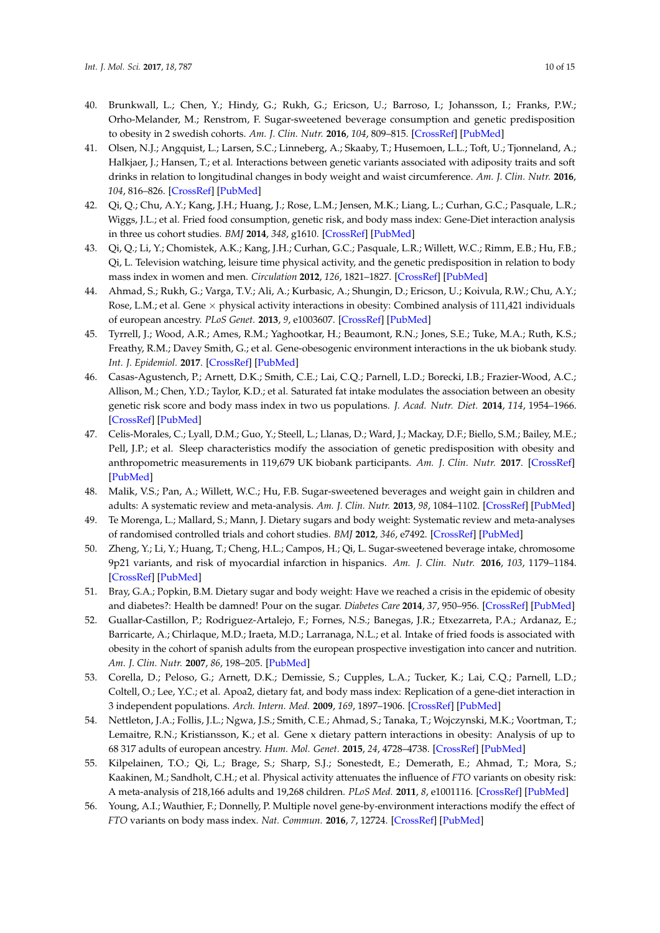- <span id="page-9-8"></span>40. Brunkwall, L.; Chen, Y.; Hindy, G.; Rukh, G.; Ericson, U.; Barroso, I.; Johansson, I.; Franks, P.W.; Orho-Melander, M.; Renstrom, F. Sugar-sweetened beverage consumption and genetic predisposition to obesity in 2 swedish cohorts. *Am. J. Clin. Nutr.* **2016**, *104*, 809–815. [\[CrossRef\]](http://dx.doi.org/10.3945/ajcn.115.126052) [\[PubMed\]](http://www.ncbi.nlm.nih.gov/pubmed/27465381)
- <span id="page-9-0"></span>41. Olsen, N.J.; Angquist, L.; Larsen, S.C.; Linneberg, A.; Skaaby, T.; Husemoen, L.L.; Toft, U.; Tjonneland, A.; Halkjaer, J.; Hansen, T.; et al. Interactions between genetic variants associated with adiposity traits and soft drinks in relation to longitudinal changes in body weight and waist circumference. *Am. J. Clin. Nutr.* **2016**, *104*, 816–826. [\[CrossRef\]](http://dx.doi.org/10.3945/ajcn.115.122820) [\[PubMed\]](http://www.ncbi.nlm.nih.gov/pubmed/27465380)
- <span id="page-9-1"></span>42. Qi, Q.; Chu, A.Y.; Kang, J.H.; Huang, J.; Rose, L.M.; Jensen, M.K.; Liang, L.; Curhan, G.C.; Pasquale, L.R.; Wiggs, J.L.; et al. Fried food consumption, genetic risk, and body mass index: Gene-Diet interaction analysis in three us cohort studies. *BMJ* **2014**, *348*, g1610. [\[CrossRef\]](http://dx.doi.org/10.1136/bmj.g1610) [\[PubMed\]](http://www.ncbi.nlm.nih.gov/pubmed/24646652)
- <span id="page-9-2"></span>43. Qi, Q.; Li, Y.; Chomistek, A.K.; Kang, J.H.; Curhan, G.C.; Pasquale, L.R.; Willett, W.C.; Rimm, E.B.; Hu, F.B.; Qi, L. Television watching, leisure time physical activity, and the genetic predisposition in relation to body mass index in women and men. *Circulation* **2012**, *126*, 1821–1827. [\[CrossRef\]](http://dx.doi.org/10.1161/CIRCULATIONAHA.112.098061) [\[PubMed\]](http://www.ncbi.nlm.nih.gov/pubmed/22949498)
- 44. Ahmad, S.; Rukh, G.; Varga, T.V.; Ali, A.; Kurbasic, A.; Shungin, D.; Ericson, U.; Koivula, R.W.; Chu, A.Y.; Rose, L.M.; et al. Gene  $\times$  physical activity interactions in obesity: Combined analysis of 111,421 individuals of european ancestry. *PLoS Genet.* **2013**, *9*, e1003607. [\[CrossRef\]](http://dx.doi.org/10.1371/journal.pgen.1003607) [\[PubMed\]](http://www.ncbi.nlm.nih.gov/pubmed/23935507)
- <span id="page-9-3"></span>45. Tyrrell, J.; Wood, A.R.; Ames, R.M.; Yaghootkar, H.; Beaumont, R.N.; Jones, S.E.; Tuke, M.A.; Ruth, K.S.; Freathy, R.M.; Davey Smith, G.; et al. Gene-obesogenic environment interactions in the uk biobank study. *Int. J. Epidemiol.* **2017**. [\[CrossRef\]](http://dx.doi.org/10.1093/ije/dyw337) [\[PubMed\]](http://www.ncbi.nlm.nih.gov/pubmed/28073954)
- <span id="page-9-4"></span>46. Casas-Agustench, P.; Arnett, D.K.; Smith, C.E.; Lai, C.Q.; Parnell, L.D.; Borecki, I.B.; Frazier-Wood, A.C.; Allison, M.; Chen, Y.D.; Taylor, K.D.; et al. Saturated fat intake modulates the association between an obesity genetic risk score and body mass index in two us populations. *J. Acad. Nutr. Diet.* **2014**, *114*, 1954–1966. [\[CrossRef\]](http://dx.doi.org/10.1016/j.jand.2014.03.014) [\[PubMed\]](http://www.ncbi.nlm.nih.gov/pubmed/24794412)
- <span id="page-9-5"></span>47. Celis-Morales, C.; Lyall, D.M.; Guo, Y.; Steell, L.; Llanas, D.; Ward, J.; Mackay, D.F.; Biello, S.M.; Bailey, M.E.; Pell, J.P.; et al. Sleep characteristics modify the association of genetic predisposition with obesity and anthropometric measurements in 119,679 UK biobank participants. *Am. J. Clin. Nutr.* **2017**. [\[CrossRef\]](http://dx.doi.org/10.3945/ajcn.116.147231) [\[PubMed\]](http://www.ncbi.nlm.nih.gov/pubmed/28251931)
- <span id="page-9-6"></span>48. Malik, V.S.; Pan, A.; Willett, W.C.; Hu, F.B. Sugar-sweetened beverages and weight gain in children and adults: A systematic review and meta-analysis. *Am. J. Clin. Nutr.* **2013**, *98*, 1084–1102. [\[CrossRef\]](http://dx.doi.org/10.3945/ajcn.113.058362) [\[PubMed\]](http://www.ncbi.nlm.nih.gov/pubmed/23966427)
- <span id="page-9-7"></span>49. Te Morenga, L.; Mallard, S.; Mann, J. Dietary sugars and body weight: Systematic review and meta-analyses of randomised controlled trials and cohort studies. *BMJ* **2012**, *346*, e7492. [\[CrossRef\]](http://dx.doi.org/10.1136/bmj.e7492) [\[PubMed\]](http://www.ncbi.nlm.nih.gov/pubmed/23321486)
- <span id="page-9-9"></span>50. Zheng, Y.; Li, Y.; Huang, T.; Cheng, H.L.; Campos, H.; Qi, L. Sugar-sweetened beverage intake, chromosome 9p21 variants, and risk of myocardial infarction in hispanics. *Am. J. Clin. Nutr.* **2016**, *103*, 1179–1184. [\[CrossRef\]](http://dx.doi.org/10.3945/ajcn.115.107177) [\[PubMed\]](http://www.ncbi.nlm.nih.gov/pubmed/26961926)
- <span id="page-9-10"></span>51. Bray, G.A.; Popkin, B.M. Dietary sugar and body weight: Have we reached a crisis in the epidemic of obesity and diabetes?: Health be damned! Pour on the sugar. *Diabetes Care* **2014**, *37*, 950–956. [\[CrossRef\]](http://dx.doi.org/10.2337/dc13-2085) [\[PubMed\]](http://www.ncbi.nlm.nih.gov/pubmed/24652725)
- <span id="page-9-11"></span>52. Guallar-Castillon, P.; Rodriguez-Artalejo, F.; Fornes, N.S.; Banegas, J.R.; Etxezarreta, P.A.; Ardanaz, E.; Barricarte, A.; Chirlaque, M.D.; Iraeta, M.D.; Larranaga, N.L.; et al. Intake of fried foods is associated with obesity in the cohort of spanish adults from the european prospective investigation into cancer and nutrition. *Am. J. Clin. Nutr.* **2007**, *86*, 198–205. [\[PubMed\]](http://www.ncbi.nlm.nih.gov/pubmed/17616781)
- <span id="page-9-12"></span>53. Corella, D.; Peloso, G.; Arnett, D.K.; Demissie, S.; Cupples, L.A.; Tucker, K.; Lai, C.Q.; Parnell, L.D.; Coltell, O.; Lee, Y.C.; et al. Apoa2, dietary fat, and body mass index: Replication of a gene-diet interaction in 3 independent populations. *Arch. Intern. Med.* **2009**, *169*, 1897–1906. [\[CrossRef\]](http://dx.doi.org/10.1001/archinternmed.2009.343) [\[PubMed\]](http://www.ncbi.nlm.nih.gov/pubmed/19901143)
- <span id="page-9-13"></span>54. Nettleton, J.A.; Follis, J.L.; Ngwa, J.S.; Smith, C.E.; Ahmad, S.; Tanaka, T.; Wojczynski, M.K.; Voortman, T.; Lemaitre, R.N.; Kristiansson, K.; et al. Gene x dietary pattern interactions in obesity: Analysis of up to 68 317 adults of european ancestry. *Hum. Mol. Genet.* **2015**, *24*, 4728–4738. [\[CrossRef\]](http://dx.doi.org/10.1093/hmg/ddv186) [\[PubMed\]](http://www.ncbi.nlm.nih.gov/pubmed/25994509)
- <span id="page-9-14"></span>55. Kilpelainen, T.O.; Qi, L.; Brage, S.; Sharp, S.J.; Sonestedt, E.; Demerath, E.; Ahmad, T.; Mora, S.; Kaakinen, M.; Sandholt, C.H.; et al. Physical activity attenuates the influence of *FTO* variants on obesity risk: A meta-analysis of 218,166 adults and 19,268 children. *PLoS Med.* **2011**, *8*, e1001116. [\[CrossRef\]](http://dx.doi.org/10.1371/journal.pmed.1001116) [\[PubMed\]](http://www.ncbi.nlm.nih.gov/pubmed/22069379)
- <span id="page-9-15"></span>56. Young, A.I.; Wauthier, F.; Donnelly, P. Multiple novel gene-by-environment interactions modify the effect of *FTO* variants on body mass index. *Nat. Commun.* **2016**, *7*, 12724. [\[CrossRef\]](http://dx.doi.org/10.1038/ncomms12724) [\[PubMed\]](http://www.ncbi.nlm.nih.gov/pubmed/27596730)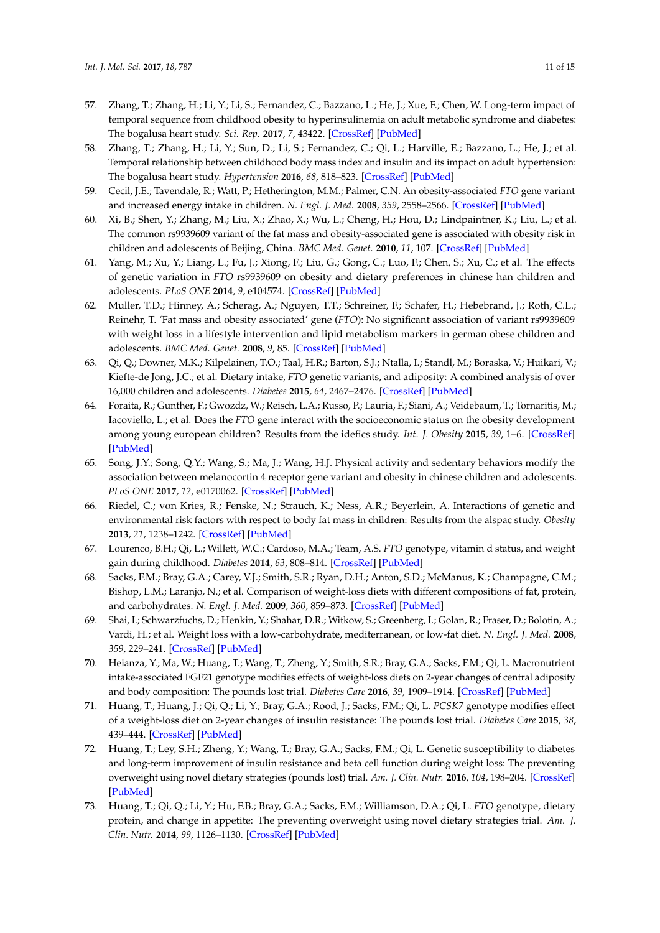- <span id="page-10-0"></span>57. Zhang, T.; Zhang, H.; Li, Y.; Li, S.; Fernandez, C.; Bazzano, L.; He, J.; Xue, F.; Chen, W. Long-term impact of temporal sequence from childhood obesity to hyperinsulinemia on adult metabolic syndrome and diabetes: The bogalusa heart study. *Sci. Rep.* **2017**, *7*, 43422. [\[CrossRef\]](http://dx.doi.org/10.1038/srep43422) [\[PubMed\]](http://www.ncbi.nlm.nih.gov/pubmed/28230104)
- <span id="page-10-1"></span>58. Zhang, T.; Zhang, H.; Li, Y.; Sun, D.; Li, S.; Fernandez, C.; Qi, L.; Harville, E.; Bazzano, L.; He, J.; et al. Temporal relationship between childhood body mass index and insulin and its impact on adult hypertension: The bogalusa heart study. *Hypertension* **2016**, *68*, 818–823. [\[CrossRef\]](http://dx.doi.org/10.1161/HYPERTENSIONAHA.116.07991) [\[PubMed\]](http://www.ncbi.nlm.nih.gov/pubmed/27432860)
- <span id="page-10-2"></span>59. Cecil, J.E.; Tavendale, R.; Watt, P.; Hetherington, M.M.; Palmer, C.N. An obesity-associated *FTO* gene variant and increased energy intake in children. *N. Engl. J. Med.* **2008**, *359*, 2558–2566. [\[CrossRef\]](http://dx.doi.org/10.1056/NEJMoa0803839) [\[PubMed\]](http://www.ncbi.nlm.nih.gov/pubmed/19073975)
- 60. Xi, B.; Shen, Y.; Zhang, M.; Liu, X.; Zhao, X.; Wu, L.; Cheng, H.; Hou, D.; Lindpaintner, K.; Liu, L.; et al. The common rs9939609 variant of the fat mass and obesity-associated gene is associated with obesity risk in children and adolescents of Beijing, China. *BMC Med. Genet.* **2010**, *11*, 107. [\[CrossRef\]](http://dx.doi.org/10.1186/1471-2350-11-107) [\[PubMed\]](http://www.ncbi.nlm.nih.gov/pubmed/20598163)
- <span id="page-10-4"></span>61. Yang, M.; Xu, Y.; Liang, L.; Fu, J.; Xiong, F.; Liu, G.; Gong, C.; Luo, F.; Chen, S.; Xu, C.; et al. The effects of genetic variation in *FTO* rs9939609 on obesity and dietary preferences in chinese han children and adolescents. *PLoS ONE* **2014**, *9*, e104574. [\[CrossRef\]](http://dx.doi.org/10.1371/journal.pone.0104574) [\[PubMed\]](http://www.ncbi.nlm.nih.gov/pubmed/25110886)
- <span id="page-10-3"></span>62. Muller, T.D.; Hinney, A.; Scherag, A.; Nguyen, T.T.; Schreiner, F.; Schafer, H.; Hebebrand, J.; Roth, C.L.; Reinehr, T. 'Fat mass and obesity associated' gene (*FTO*): No significant association of variant rs9939609 with weight loss in a lifestyle intervention and lipid metabolism markers in german obese children and adolescents. *BMC Med. Genet.* **2008**, *9*, 85. [\[CrossRef\]](http://dx.doi.org/10.1186/1471-2350-9-85) [\[PubMed\]](http://www.ncbi.nlm.nih.gov/pubmed/18799002)
- <span id="page-10-5"></span>63. Qi, Q.; Downer, M.K.; Kilpelainen, T.O.; Taal, H.R.; Barton, S.J.; Ntalla, I.; Standl, M.; Boraska, V.; Huikari, V.; Kiefte-de Jong, J.C.; et al. Dietary intake, *FTO* genetic variants, and adiposity: A combined analysis of over 16,000 children and adolescents. *Diabetes* **2015**, *64*, 2467–2476. [\[CrossRef\]](http://dx.doi.org/10.2337/db14-1629) [\[PubMed\]](http://www.ncbi.nlm.nih.gov/pubmed/25720386)
- <span id="page-10-6"></span>64. Foraita, R.; Gunther, F.; Gwozdz, W.; Reisch, L.A.; Russo, P.; Lauria, F.; Siani, A.; Veidebaum, T.; Tornaritis, M.; Iacoviello, L.; et al. Does the *FTO* gene interact with the socioeconomic status on the obesity development among young european children? Results from the idefics study. *Int. J. Obesity* **2015**, *39*, 1–6. [\[CrossRef\]](http://dx.doi.org/10.1038/ijo.2014.156) [\[PubMed\]](http://www.ncbi.nlm.nih.gov/pubmed/25135377)
- <span id="page-10-7"></span>65. Song, J.Y.; Song, Q.Y.; Wang, S.; Ma, J.; Wang, H.J. Physical activity and sedentary behaviors modify the association between melanocortin 4 receptor gene variant and obesity in chinese children and adolescents. *PLoS ONE* **2017**, *12*, e0170062. [\[CrossRef\]](http://dx.doi.org/10.1371/journal.pone.0170062) [\[PubMed\]](http://www.ncbi.nlm.nih.gov/pubmed/28081251)
- <span id="page-10-8"></span>66. Riedel, C.; von Kries, R.; Fenske, N.; Strauch, K.; Ness, A.R.; Beyerlein, A. Interactions of genetic and environmental risk factors with respect to body fat mass in children: Results from the alspac study. *Obesity* **2013**, *21*, 1238–1242. [\[CrossRef\]](http://dx.doi.org/10.1002/oby.20196) [\[PubMed\]](http://www.ncbi.nlm.nih.gov/pubmed/23670811)
- <span id="page-10-9"></span>67. Lourenco, B.H.; Qi, L.; Willett, W.C.; Cardoso, M.A.; Team, A.S. *FTO* genotype, vitamin d status, and weight gain during childhood. *Diabetes* **2014**, *63*, 808–814. [\[CrossRef\]](http://dx.doi.org/10.2337/db13-1290) [\[PubMed\]](http://www.ncbi.nlm.nih.gov/pubmed/24130335)
- <span id="page-10-10"></span>68. Sacks, F.M.; Bray, G.A.; Carey, V.J.; Smith, S.R.; Ryan, D.H.; Anton, S.D.; McManus, K.; Champagne, C.M.; Bishop, L.M.; Laranjo, N.; et al. Comparison of weight-loss diets with different compositions of fat, protein, and carbohydrates. *N. Engl. J. Med.* **2009**, *360*, 859–873. [\[CrossRef\]](http://dx.doi.org/10.1056/NEJMoa0804748) [\[PubMed\]](http://www.ncbi.nlm.nih.gov/pubmed/19246357)
- <span id="page-10-11"></span>69. Shai, I.; Schwarzfuchs, D.; Henkin, Y.; Shahar, D.R.; Witkow, S.; Greenberg, I.; Golan, R.; Fraser, D.; Bolotin, A.; Vardi, H.; et al. Weight loss with a low-carbohydrate, mediterranean, or low-fat diet. *N. Engl. J. Med.* **2008**, *359*, 229–241. [\[CrossRef\]](http://dx.doi.org/10.1056/NEJMoa0708681) [\[PubMed\]](http://www.ncbi.nlm.nih.gov/pubmed/18635428)
- <span id="page-10-12"></span>70. Heianza, Y.; Ma, W.; Huang, T.; Wang, T.; Zheng, Y.; Smith, S.R.; Bray, G.A.; Sacks, F.M.; Qi, L. Macronutrient intake-associated FGF21 genotype modifies effects of weight-loss diets on 2-year changes of central adiposity and body composition: The pounds lost trial. *Diabetes Care* **2016**, *39*, 1909–1914. [\[CrossRef\]](http://dx.doi.org/10.2337/dc16-1111) [\[PubMed\]](http://www.ncbi.nlm.nih.gov/pubmed/27581055)
- <span id="page-10-15"></span>71. Huang, T.; Huang, J.; Qi, Q.; Li, Y.; Bray, G.A.; Rood, J.; Sacks, F.M.; Qi, L. *PCSK7* genotype modifies effect of a weight-loss diet on 2-year changes of insulin resistance: The pounds lost trial. *Diabetes Care* **2015**, *38*, 439–444. [\[CrossRef\]](http://dx.doi.org/10.2337/dc14-0473) [\[PubMed\]](http://www.ncbi.nlm.nih.gov/pubmed/25504030)
- <span id="page-10-13"></span>72. Huang, T.; Ley, S.H.; Zheng, Y.; Wang, T.; Bray, G.A.; Sacks, F.M.; Qi, L. Genetic susceptibility to diabetes and long-term improvement of insulin resistance and beta cell function during weight loss: The preventing overweight using novel dietary strategies (pounds lost) trial. *Am. J. Clin. Nutr.* **2016**, *104*, 198–204. [\[CrossRef\]](http://dx.doi.org/10.3945/ajcn.115.121186) [\[PubMed\]](http://www.ncbi.nlm.nih.gov/pubmed/27281308)
- <span id="page-10-14"></span>73. Huang, T.; Qi, Q.; Li, Y.; Hu, F.B.; Bray, G.A.; Sacks, F.M.; Williamson, D.A.; Qi, L. *FTO* genotype, dietary protein, and change in appetite: The preventing overweight using novel dietary strategies trial. *Am. J. Clin. Nutr.* **2014**, *99*, 1126–1130. [\[CrossRef\]](http://dx.doi.org/10.3945/ajcn.113.082164) [\[PubMed\]](http://www.ncbi.nlm.nih.gov/pubmed/24622803)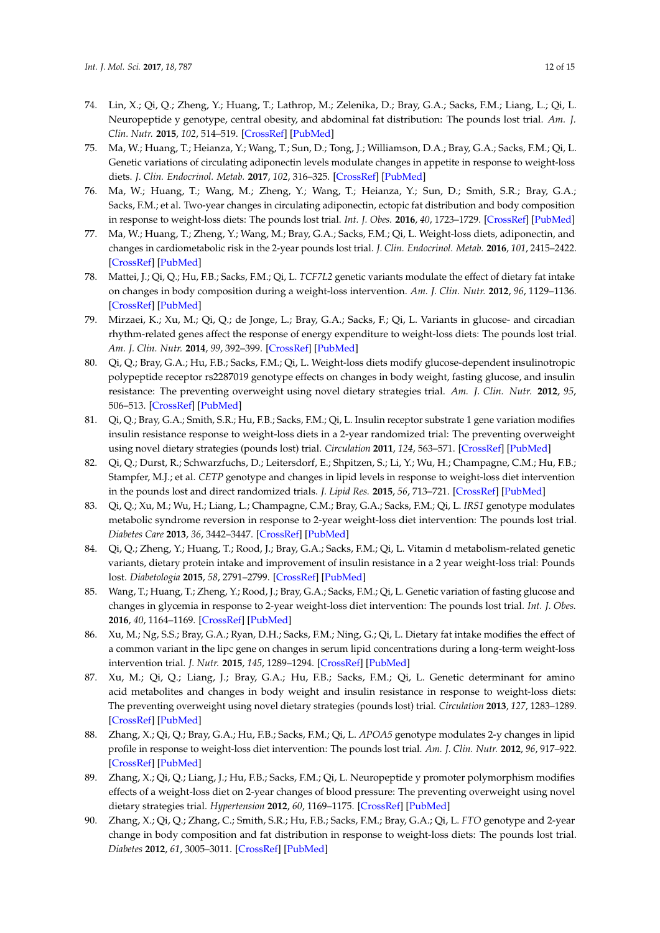- 74. Lin, X.; Qi, Q.; Zheng, Y.; Huang, T.; Lathrop, M.; Zelenika, D.; Bray, G.A.; Sacks, F.M.; Liang, L.; Qi, L. Neuropeptide y genotype, central obesity, and abdominal fat distribution: The pounds lost trial. *Am. J. Clin. Nutr.* **2015**, *102*, 514–519. [\[CrossRef\]](http://dx.doi.org/10.3945/ajcn.115.107276) [\[PubMed\]](http://www.ncbi.nlm.nih.gov/pubmed/26156739)
- <span id="page-11-13"></span>75. Ma, W.; Huang, T.; Heianza, Y.; Wang, T.; Sun, D.; Tong, J.; Williamson, D.A.; Bray, G.A.; Sacks, F.M.; Qi, L. Genetic variations of circulating adiponectin levels modulate changes in appetite in response to weight-loss diets. *J. Clin. Endocrinol. Metab.* **2017**, *102*, 316–325. [\[CrossRef\]](http://dx.doi.org/10.1210/jc.2016-2909) [\[PubMed\]](http://www.ncbi.nlm.nih.gov/pubmed/27841942)
- 76. Ma, W.; Huang, T.; Wang, M.; Zheng, Y.; Wang, T.; Heianza, Y.; Sun, D.; Smith, S.R.; Bray, G.A.; Sacks, F.M.; et al. Two-year changes in circulating adiponectin, ectopic fat distribution and body composition in response to weight-loss diets: The pounds lost trial. *Int. J. Obes.* **2016**, *40*, 1723–1729. [\[CrossRef\]](http://dx.doi.org/10.1038/ijo.2016.128) [\[PubMed\]](http://www.ncbi.nlm.nih.gov/pubmed/27460602)
- 77. Ma, W.; Huang, T.; Zheng, Y.; Wang, M.; Bray, G.A.; Sacks, F.M.; Qi, L. Weight-loss diets, adiponectin, and changes in cardiometabolic risk in the 2-year pounds lost trial. *J. Clin. Endocrinol. Metab.* **2016**, *101*, 2415–2422. [\[CrossRef\]](http://dx.doi.org/10.1210/jc.2016-1207) [\[PubMed\]](http://www.ncbi.nlm.nih.gov/pubmed/27055193)
- <span id="page-11-8"></span>78. Mattei, J.; Qi, Q.; Hu, F.B.; Sacks, F.M.; Qi, L. *TCF7L2* genetic variants modulate the effect of dietary fat intake on changes in body composition during a weight-loss intervention. *Am. J. Clin. Nutr.* **2012**, *96*, 1129–1136. [\[CrossRef\]](http://dx.doi.org/10.3945/ajcn.112.038125) [\[PubMed\]](http://www.ncbi.nlm.nih.gov/pubmed/23034957)
- <span id="page-11-7"></span>79. Mirzaei, K.; Xu, M.; Qi, Q.; de Jonge, L.; Bray, G.A.; Sacks, F.; Qi, L. Variants in glucose- and circadian rhythm-related genes affect the response of energy expenditure to weight-loss diets: The pounds lost trial. *Am. J. Clin. Nutr.* **2014**, *99*, 392–399. [\[CrossRef\]](http://dx.doi.org/10.3945/ajcn.113.072066) [\[PubMed\]](http://www.ncbi.nlm.nih.gov/pubmed/24335056)
- <span id="page-11-6"></span>80. Qi, Q.; Bray, G.A.; Hu, F.B.; Sacks, F.M.; Qi, L. Weight-loss diets modify glucose-dependent insulinotropic polypeptide receptor rs2287019 genotype effects on changes in body weight, fasting glucose, and insulin resistance: The preventing overweight using novel dietary strategies trial. *Am. J. Clin. Nutr.* **2012**, *95*, 506–513. [\[CrossRef\]](http://dx.doi.org/10.3945/ajcn.111.025270) [\[PubMed\]](http://www.ncbi.nlm.nih.gov/pubmed/22237064)
- <span id="page-11-0"></span>81. Qi, Q.; Bray, G.A.; Smith, S.R.; Hu, F.B.; Sacks, F.M.; Qi, L. Insulin receptor substrate 1 gene variation modifies insulin resistance response to weight-loss diets in a 2-year randomized trial: The preventing overweight using novel dietary strategies (pounds lost) trial. *Circulation* **2011**, *124*, 563–571. [\[CrossRef\]](http://dx.doi.org/10.1161/CIRCULATIONAHA.111.025767) [\[PubMed\]](http://www.ncbi.nlm.nih.gov/pubmed/21747052)
- <span id="page-11-11"></span>82. Qi, Q.; Durst, R.; Schwarzfuchs, D.; Leitersdorf, E.; Shpitzen, S.; Li, Y.; Wu, H.; Champagne, C.M.; Hu, F.B.; Stampfer, M.J.; et al. *CETP* genotype and changes in lipid levels in response to weight-loss diet intervention in the pounds lost and direct randomized trials. *J. Lipid Res.* **2015**, *56*, 713–721. [\[CrossRef\]](http://dx.doi.org/10.1194/jlr.P055715) [\[PubMed\]](http://www.ncbi.nlm.nih.gov/pubmed/25548261)
- <span id="page-11-3"></span>83. Qi, Q.; Xu, M.; Wu, H.; Liang, L.; Champagne, C.M.; Bray, G.A.; Sacks, F.M.; Qi, L. *IRS1* genotype modulates metabolic syndrome reversion in response to 2-year weight-loss diet intervention: The pounds lost trial. *Diabetes Care* **2013**, *36*, 3442–3447. [\[CrossRef\]](http://dx.doi.org/10.2337/dc13-0018) [\[PubMed\]](http://www.ncbi.nlm.nih.gov/pubmed/24009303)
- <span id="page-11-4"></span>84. Qi, Q.; Zheng, Y.; Huang, T.; Rood, J.; Bray, G.A.; Sacks, F.M.; Qi, L. Vitamin d metabolism-related genetic variants, dietary protein intake and improvement of insulin resistance in a 2 year weight-loss trial: Pounds lost. *Diabetologia* **2015**, *58*, 2791–2799. [\[CrossRef\]](http://dx.doi.org/10.1007/s00125-015-3750-1) [\[PubMed\]](http://www.ncbi.nlm.nih.gov/pubmed/26416604)
- <span id="page-11-2"></span>85. Wang, T.; Huang, T.; Zheng, Y.; Rood, J.; Bray, G.A.; Sacks, F.M.; Qi, L. Genetic variation of fasting glucose and changes in glycemia in response to 2-year weight-loss diet intervention: The pounds lost trial. *Int. J. Obes.* **2016**, *40*, 1164–1169. [\[CrossRef\]](http://dx.doi.org/10.1038/ijo.2016.41) [\[PubMed\]](http://www.ncbi.nlm.nih.gov/pubmed/27113490)
- <span id="page-11-10"></span>86. Xu, M.; Ng, S.S.; Bray, G.A.; Ryan, D.H.; Sacks, F.M.; Ning, G.; Qi, L. Dietary fat intake modifies the effect of a common variant in the lipc gene on changes in serum lipid concentrations during a long-term weight-loss intervention trial. *J. Nutr.* **2015**, *145*, 1289–1294. [\[CrossRef\]](http://dx.doi.org/10.3945/jn.115.212514) [\[PubMed\]](http://www.ncbi.nlm.nih.gov/pubmed/25926410)
- <span id="page-11-1"></span>87. Xu, M.; Qi, Q.; Liang, J.; Bray, G.A.; Hu, F.B.; Sacks, F.M.; Qi, L. Genetic determinant for amino acid metabolites and changes in body weight and insulin resistance in response to weight-loss diets: The preventing overweight using novel dietary strategies (pounds lost) trial. *Circulation* **2013**, *127*, 1283–1289. [\[CrossRef\]](http://dx.doi.org/10.1161/CIRCULATIONAHA.112.000586) [\[PubMed\]](http://www.ncbi.nlm.nih.gov/pubmed/23446828)
- <span id="page-11-9"></span>88. Zhang, X.; Qi, Q.; Bray, G.A.; Hu, F.B.; Sacks, F.M.; Qi, L. *APOA5* genotype modulates 2-y changes in lipid profile in response to weight-loss diet intervention: The pounds lost trial. *Am. J. Clin. Nutr.* **2012**, *96*, 917–922. [\[CrossRef\]](http://dx.doi.org/10.3945/ajcn.112.040907) [\[PubMed\]](http://www.ncbi.nlm.nih.gov/pubmed/22914552)
- <span id="page-11-12"></span>89. Zhang, X.; Qi, Q.; Liang, J.; Hu, F.B.; Sacks, F.M.; Qi, L. Neuropeptide y promoter polymorphism modifies effects of a weight-loss diet on 2-year changes of blood pressure: The preventing overweight using novel dietary strategies trial. *Hypertension* **2012**, *60*, 1169–1175. [\[CrossRef\]](http://dx.doi.org/10.1161/HYPERTENSIONAHA.112.197855) [\[PubMed\]](http://www.ncbi.nlm.nih.gov/pubmed/22966009)
- <span id="page-11-5"></span>90. Zhang, X.; Qi, Q.; Zhang, C.; Smith, S.R.; Hu, F.B.; Sacks, F.M.; Bray, G.A.; Qi, L. *FTO* genotype and 2-year change in body composition and fat distribution in response to weight-loss diets: The pounds lost trial. *Diabetes* **2012**, *61*, 3005–3011. [\[CrossRef\]](http://dx.doi.org/10.2337/db11-1799) [\[PubMed\]](http://www.ncbi.nlm.nih.gov/pubmed/22891219)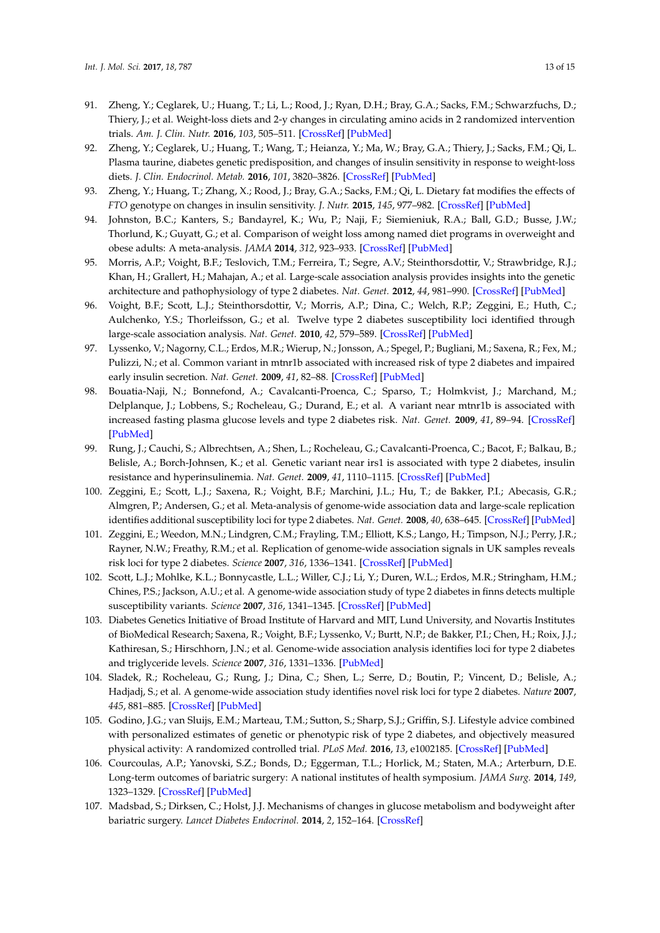- <span id="page-12-6"></span>91. Zheng, Y.; Ceglarek, U.; Huang, T.; Li, L.; Rood, J.; Ryan, D.H.; Bray, G.A.; Sacks, F.M.; Schwarzfuchs, D.; Thiery, J.; et al. Weight-loss diets and 2-y changes in circulating amino acids in 2 randomized intervention trials. *Am. J. Clin. Nutr.* **2016**, *103*, 505–511. [\[CrossRef\]](http://dx.doi.org/10.3945/ajcn.115.117689) [\[PubMed\]](http://www.ncbi.nlm.nih.gov/pubmed/26791187)
- <span id="page-12-7"></span>92. Zheng, Y.; Ceglarek, U.; Huang, T.; Wang, T.; Heianza, Y.; Ma, W.; Bray, G.A.; Thiery, J.; Sacks, F.M.; Qi, L. Plasma taurine, diabetes genetic predisposition, and changes of insulin sensitivity in response to weight-loss diets. *J. Clin. Endocrinol. Metab.* **2016**, *101*, 3820–3826. [\[CrossRef\]](http://dx.doi.org/10.1210/jc.2016-1760) [\[PubMed\]](http://www.ncbi.nlm.nih.gov/pubmed/27466884)
- <span id="page-12-0"></span>93. Zheng, Y.; Huang, T.; Zhang, X.; Rood, J.; Bray, G.A.; Sacks, F.M.; Qi, L. Dietary fat modifies the effects of *FTO* genotype on changes in insulin sensitivity. *J. Nutr.* **2015**, *145*, 977–982. [\[CrossRef\]](http://dx.doi.org/10.3945/jn.115.210005) [\[PubMed\]](http://www.ncbi.nlm.nih.gov/pubmed/25761503)
- <span id="page-12-1"></span>94. Johnston, B.C.; Kanters, S.; Bandayrel, K.; Wu, P.; Naji, F.; Siemieniuk, R.A.; Ball, G.D.; Busse, J.W.; Thorlund, K.; Guyatt, G.; et al. Comparison of weight loss among named diet programs in overweight and obese adults: A meta-analysis. *JAMA* **2014**, *312*, 923–933. [\[CrossRef\]](http://dx.doi.org/10.1001/jama.2014.10397) [\[PubMed\]](http://www.ncbi.nlm.nih.gov/pubmed/25182101)
- <span id="page-12-2"></span>95. Morris, A.P.; Voight, B.F.; Teslovich, T.M.; Ferreira, T.; Segre, A.V.; Steinthorsdottir, V.; Strawbridge, R.J.; Khan, H.; Grallert, H.; Mahajan, A.; et al. Large-scale association analysis provides insights into the genetic architecture and pathophysiology of type 2 diabetes. *Nat. Genet.* **2012**, *44*, 981–990. [\[CrossRef\]](http://dx.doi.org/10.1038/ng.2383) [\[PubMed\]](http://www.ncbi.nlm.nih.gov/pubmed/22885922)
- 96. Voight, B.F.; Scott, L.J.; Steinthorsdottir, V.; Morris, A.P.; Dina, C.; Welch, R.P.; Zeggini, E.; Huth, C.; Aulchenko, Y.S.; Thorleifsson, G.; et al. Twelve type 2 diabetes susceptibility loci identified through large-scale association analysis. *Nat. Genet.* **2010**, *42*, 579–589. [\[CrossRef\]](http://dx.doi.org/10.1038/ng.609) [\[PubMed\]](http://www.ncbi.nlm.nih.gov/pubmed/20581827)
- 97. Lyssenko, V.; Nagorny, C.L.; Erdos, M.R.; Wierup, N.; Jonsson, A.; Spegel, P.; Bugliani, M.; Saxena, R.; Fex, M.; Pulizzi, N.; et al. Common variant in mtnr1b associated with increased risk of type 2 diabetes and impaired early insulin secretion. *Nat. Genet.* **2009**, *41*, 82–88. [\[CrossRef\]](http://dx.doi.org/10.1038/ng.288) [\[PubMed\]](http://www.ncbi.nlm.nih.gov/pubmed/19060908)
- 98. Bouatia-Naji, N.; Bonnefond, A.; Cavalcanti-Proenca, C.; Sparso, T.; Holmkvist, J.; Marchand, M.; Delplanque, J.; Lobbens, S.; Rocheleau, G.; Durand, E.; et al. A variant near mtnr1b is associated with increased fasting plasma glucose levels and type 2 diabetes risk. *Nat. Genet.* **2009**, *41*, 89–94. [\[CrossRef\]](http://dx.doi.org/10.1038/ng.277) [\[PubMed\]](http://www.ncbi.nlm.nih.gov/pubmed/19060909)
- 99. Rung, J.; Cauchi, S.; Albrechtsen, A.; Shen, L.; Rocheleau, G.; Cavalcanti-Proenca, C.; Bacot, F.; Balkau, B.; Belisle, A.; Borch-Johnsen, K.; et al. Genetic variant near irs1 is associated with type 2 diabetes, insulin resistance and hyperinsulinemia. *Nat. Genet.* **2009**, *41*, 1110–1115. [\[CrossRef\]](http://dx.doi.org/10.1038/ng.443) [\[PubMed\]](http://www.ncbi.nlm.nih.gov/pubmed/19734900)
- 100. Zeggini, E.; Scott, L.J.; Saxena, R.; Voight, B.F.; Marchini, J.L.; Hu, T.; de Bakker, P.I.; Abecasis, G.R.; Almgren, P.; Andersen, G.; et al. Meta-analysis of genome-wide association data and large-scale replication identifies additional susceptibility loci for type 2 diabetes. *Nat. Genet.* **2008**, *40*, 638–645. [\[CrossRef\]](http://dx.doi.org/10.1038/ng.120) [\[PubMed\]](http://www.ncbi.nlm.nih.gov/pubmed/18372903)
- 101. Zeggini, E.; Weedon, M.N.; Lindgren, C.M.; Frayling, T.M.; Elliott, K.S.; Lango, H.; Timpson, N.J.; Perry, J.R.; Rayner, N.W.; Freathy, R.M.; et al. Replication of genome-wide association signals in UK samples reveals risk loci for type 2 diabetes. *Science* **2007**, *316*, 1336–1341. [\[CrossRef\]](http://dx.doi.org/10.1126/science.1142364) [\[PubMed\]](http://www.ncbi.nlm.nih.gov/pubmed/17463249)
- 102. Scott, L.J.; Mohlke, K.L.; Bonnycastle, L.L.; Willer, C.J.; Li, Y.; Duren, W.L.; Erdos, M.R.; Stringham, H.M.; Chines, P.S.; Jackson, A.U.; et al. A genome-wide association study of type 2 diabetes in finns detects multiple susceptibility variants. *Science* **2007**, *316*, 1341–1345. [\[CrossRef\]](http://dx.doi.org/10.1126/science.1142382) [\[PubMed\]](http://www.ncbi.nlm.nih.gov/pubmed/17463248)
- 103. Diabetes Genetics Initiative of Broad Institute of Harvard and MIT, Lund University, and Novartis Institutes of BioMedical Research; Saxena, R.; Voight, B.F.; Lyssenko, V.; Burtt, N.P.; de Bakker, P.I.; Chen, H.; Roix, J.J.; Kathiresan, S.; Hirschhorn, J.N.; et al. Genome-wide association analysis identifies loci for type 2 diabetes and triglyceride levels. *Science* **2007**, *316*, 1331–1336. [\[PubMed\]](http://www.ncbi.nlm.nih.gov/pubmed/17463246)
- <span id="page-12-3"></span>104. Sladek, R.; Rocheleau, G.; Rung, J.; Dina, C.; Shen, L.; Serre, D.; Boutin, P.; Vincent, D.; Belisle, A.; Hadjadj, S.; et al. A genome-wide association study identifies novel risk loci for type 2 diabetes. *Nature* **2007**, *445*, 881–885. [\[CrossRef\]](http://dx.doi.org/10.1038/nature05616) [\[PubMed\]](http://www.ncbi.nlm.nih.gov/pubmed/17293876)
- <span id="page-12-4"></span>105. Godino, J.G.; van Sluijs, E.M.; Marteau, T.M.; Sutton, S.; Sharp, S.J.; Griffin, S.J. Lifestyle advice combined with personalized estimates of genetic or phenotypic risk of type 2 diabetes, and objectively measured physical activity: A randomized controlled trial. *PLoS Med.* **2016**, *13*, e1002185. [\[CrossRef\]](http://dx.doi.org/10.1371/journal.pmed.1002185) [\[PubMed\]](http://www.ncbi.nlm.nih.gov/pubmed/27898672)
- <span id="page-12-5"></span>106. Courcoulas, A.P.; Yanovski, S.Z.; Bonds, D.; Eggerman, T.L.; Horlick, M.; Staten, M.A.; Arterburn, D.E. Long-term outcomes of bariatric surgery: A national institutes of health symposium. *JAMA Surg.* **2014**, *149*, 1323–1329. [\[CrossRef\]](http://dx.doi.org/10.1001/jamasurg.2014.2440) [\[PubMed\]](http://www.ncbi.nlm.nih.gov/pubmed/25271405)
- 107. Madsbad, S.; Dirksen, C.; Holst, J.J. Mechanisms of changes in glucose metabolism and bodyweight after bariatric surgery. *Lancet Diabetes Endocrinol.* **2014**, *2*, 152–164. [\[CrossRef\]](http://dx.doi.org/10.1016/S2213-8587(13)70218-3)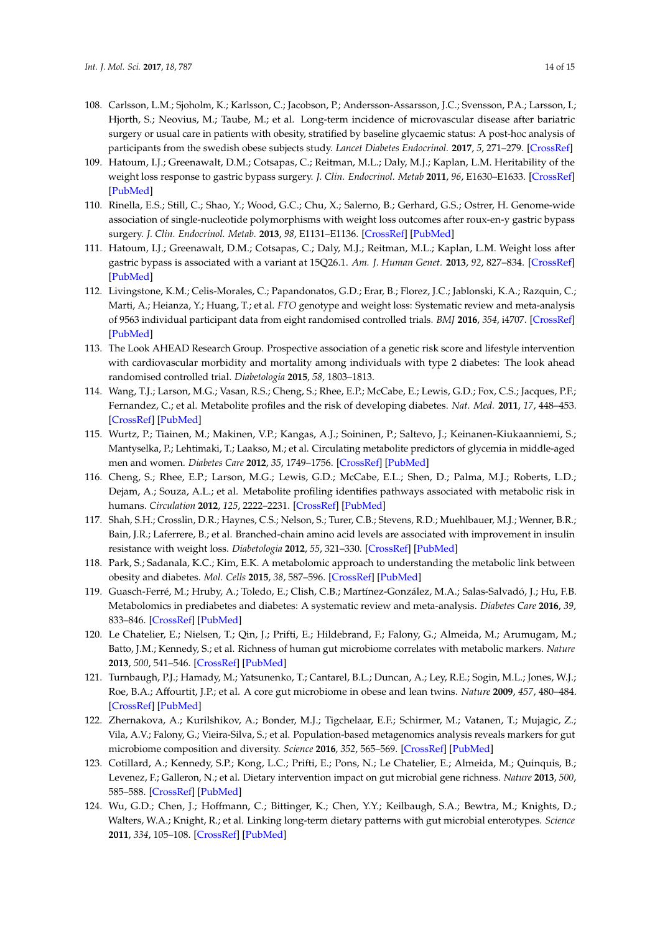- <span id="page-13-0"></span>108. Carlsson, L.M.; Sjoholm, K.; Karlsson, C.; Jacobson, P.; Andersson-Assarsson, J.C.; Svensson, P.A.; Larsson, I.; Hjorth, S.; Neovius, M.; Taube, M.; et al. Long-term incidence of microvascular disease after bariatric surgery or usual care in patients with obesity, stratified by baseline glycaemic status: A post-hoc analysis of participants from the swedish obese subjects study. *Lancet Diabetes Endocrinol.* **2017**, *5*, 271–279. [\[CrossRef\]](http://dx.doi.org/10.1016/S2213-8587(17)30061-X)
- <span id="page-13-1"></span>109. Hatoum, I.J.; Greenawalt, D.M.; Cotsapas, C.; Reitman, M.L.; Daly, M.J.; Kaplan, L.M. Heritability of the weight loss response to gastric bypass surgery. *J. Clin. Endocrinol. Metab* **2011**, *96*, E1630–E1633. [\[CrossRef\]](http://dx.doi.org/10.1210/jc.2011-1130) [\[PubMed\]](http://www.ncbi.nlm.nih.gov/pubmed/21832118)
- <span id="page-13-2"></span>110. Rinella, E.S.; Still, C.; Shao, Y.; Wood, G.C.; Chu, X.; Salerno, B.; Gerhard, G.S.; Ostrer, H. Genome-wide association of single-nucleotide polymorphisms with weight loss outcomes after roux-en-y gastric bypass surgery. *J. Clin. Endocrinol. Metab.* **2013**, *98*, E1131–E1136. [\[CrossRef\]](http://dx.doi.org/10.1210/jc.2012-3421) [\[PubMed\]](http://www.ncbi.nlm.nih.gov/pubmed/23633212)
- <span id="page-13-3"></span>111. Hatoum, I.J.; Greenawalt, D.M.; Cotsapas, C.; Daly, M.J.; Reitman, M.L.; Kaplan, L.M. Weight loss after gastric bypass is associated with a variant at 15Q26.1. *Am. J. Human Genet.* **2013**, *92*, 827–834. [\[CrossRef\]](http://dx.doi.org/10.1016/j.ajhg.2013.04.009) [\[PubMed\]](http://www.ncbi.nlm.nih.gov/pubmed/23643386)
- <span id="page-13-4"></span>112. Livingstone, K.M.; Celis-Morales, C.; Papandonatos, G.D.; Erar, B.; Florez, J.C.; Jablonski, K.A.; Razquin, C.; Marti, A.; Heianza, Y.; Huang, T.; et al. *FTO* genotype and weight loss: Systematic review and meta-analysis of 9563 individual participant data from eight randomised controlled trials. *BMJ* **2016**, *354*, i4707. [\[CrossRef\]](http://dx.doi.org/10.1136/bmj.i4707) [\[PubMed\]](http://www.ncbi.nlm.nih.gov/pubmed/27650503)
- <span id="page-13-5"></span>113. The Look AHEAD Research Group. Prospective association of a genetic risk score and lifestyle intervention with cardiovascular morbidity and mortality among individuals with type 2 diabetes: The look ahead randomised controlled trial. *Diabetologia* **2015**, *58*, 1803–1813.
- <span id="page-13-6"></span>114. Wang, T.J.; Larson, M.G.; Vasan, R.S.; Cheng, S.; Rhee, E.P.; McCabe, E.; Lewis, G.D.; Fox, C.S.; Jacques, P.F.; Fernandez, C.; et al. Metabolite profiles and the risk of developing diabetes. *Nat. Med.* **2011**, *17*, 448–453. [\[CrossRef\]](http://dx.doi.org/10.1038/nm.2307) [\[PubMed\]](http://www.ncbi.nlm.nih.gov/pubmed/21423183)
- 115. Wurtz, P.; Tiainen, M.; Makinen, V.P.; Kangas, A.J.; Soininen, P.; Saltevo, J.; Keinanen-Kiukaanniemi, S.; Mantyselka, P.; Lehtimaki, T.; Laakso, M.; et al. Circulating metabolite predictors of glycemia in middle-aged men and women. *Diabetes Care* **2012**, *35*, 1749–1756. [\[CrossRef\]](http://dx.doi.org/10.2337/dc11-1838) [\[PubMed\]](http://www.ncbi.nlm.nih.gov/pubmed/22563043)
- <span id="page-13-7"></span>116. Cheng, S.; Rhee, E.P.; Larson, M.G.; Lewis, G.D.; McCabe, E.L.; Shen, D.; Palma, M.J.; Roberts, L.D.; Dejam, A.; Souza, A.L.; et al. Metabolite profiling identifies pathways associated with metabolic risk in humans. *Circulation* **2012**, *125*, 2222–2231. [\[CrossRef\]](http://dx.doi.org/10.1161/CIRCULATIONAHA.111.067827) [\[PubMed\]](http://www.ncbi.nlm.nih.gov/pubmed/22496159)
- <span id="page-13-8"></span>117. Shah, S.H.; Crosslin, D.R.; Haynes, C.S.; Nelson, S.; Turer, C.B.; Stevens, R.D.; Muehlbauer, M.J.; Wenner, B.R.; Bain, J.R.; Laferrere, B.; et al. Branched-chain amino acid levels are associated with improvement in insulin resistance with weight loss. *Diabetologia* **2012**, *55*, 321–330. [\[CrossRef\]](http://dx.doi.org/10.1007/s00125-011-2356-5) [\[PubMed\]](http://www.ncbi.nlm.nih.gov/pubmed/22065088)
- <span id="page-13-9"></span>118. Park, S.; Sadanala, K.C.; Kim, E.K. A metabolomic approach to understanding the metabolic link between obesity and diabetes. *Mol. Cells* **2015**, *38*, 587–596. [\[CrossRef\]](http://dx.doi.org/10.14348/molcells.2015.0126) [\[PubMed\]](http://www.ncbi.nlm.nih.gov/pubmed/26072981)
- <span id="page-13-10"></span>119. Guasch-Ferré, M.; Hruby, A.; Toledo, E.; Clish, C.B.; Martínez-González, M.A.; Salas-Salvadó, J.; Hu, F.B. Metabolomics in prediabetes and diabetes: A systematic review and meta-analysis. *Diabetes Care* **2016**, *39*, 833–846. [\[CrossRef\]](http://dx.doi.org/10.2337/dc15-2251) [\[PubMed\]](http://www.ncbi.nlm.nih.gov/pubmed/27208380)
- <span id="page-13-11"></span>120. Le Chatelier, E.; Nielsen, T.; Qin, J.; Prifti, E.; Hildebrand, F.; Falony, G.; Almeida, M.; Arumugam, M.; Batto, J.M.; Kennedy, S.; et al. Richness of human gut microbiome correlates with metabolic markers. *Nature* **2013**, *500*, 541–546. [\[CrossRef\]](http://dx.doi.org/10.1038/nature12506) [\[PubMed\]](http://www.ncbi.nlm.nih.gov/pubmed/23985870)
- <span id="page-13-12"></span>121. Turnbaugh, P.J.; Hamady, M.; Yatsunenko, T.; Cantarel, B.L.; Duncan, A.; Ley, R.E.; Sogin, M.L.; Jones, W.J.; Roe, B.A.; Affourtit, J.P.; et al. A core gut microbiome in obese and lean twins. *Nature* **2009**, *457*, 480–484. [\[CrossRef\]](http://dx.doi.org/10.1038/nature07540) [\[PubMed\]](http://www.ncbi.nlm.nih.gov/pubmed/19043404)
- <span id="page-13-13"></span>122. Zhernakova, A.; Kurilshikov, A.; Bonder, M.J.; Tigchelaar, E.F.; Schirmer, M.; Vatanen, T.; Mujagic, Z.; Vila, A.V.; Falony, G.; Vieira-Silva, S.; et al. Population-based metagenomics analysis reveals markers for gut microbiome composition and diversity. *Science* **2016**, *352*, 565–569. [\[CrossRef\]](http://dx.doi.org/10.1126/science.aad3369) [\[PubMed\]](http://www.ncbi.nlm.nih.gov/pubmed/27126040)
- <span id="page-13-14"></span>123. Cotillard, A.; Kennedy, S.P.; Kong, L.C.; Prifti, E.; Pons, N.; Le Chatelier, E.; Almeida, M.; Quinquis, B.; Levenez, F.; Galleron, N.; et al. Dietary intervention impact on gut microbial gene richness. *Nature* **2013**, *500*, 585–588. [\[CrossRef\]](http://dx.doi.org/10.1038/nature12480) [\[PubMed\]](http://www.ncbi.nlm.nih.gov/pubmed/23985875)
- <span id="page-13-15"></span>124. Wu, G.D.; Chen, J.; Hoffmann, C.; Bittinger, K.; Chen, Y.Y.; Keilbaugh, S.A.; Bewtra, M.; Knights, D.; Walters, W.A.; Knight, R.; et al. Linking long-term dietary patterns with gut microbial enterotypes. *Science* **2011**, *334*, 105–108. [\[CrossRef\]](http://dx.doi.org/10.1126/science.1208344) [\[PubMed\]](http://www.ncbi.nlm.nih.gov/pubmed/21885731)